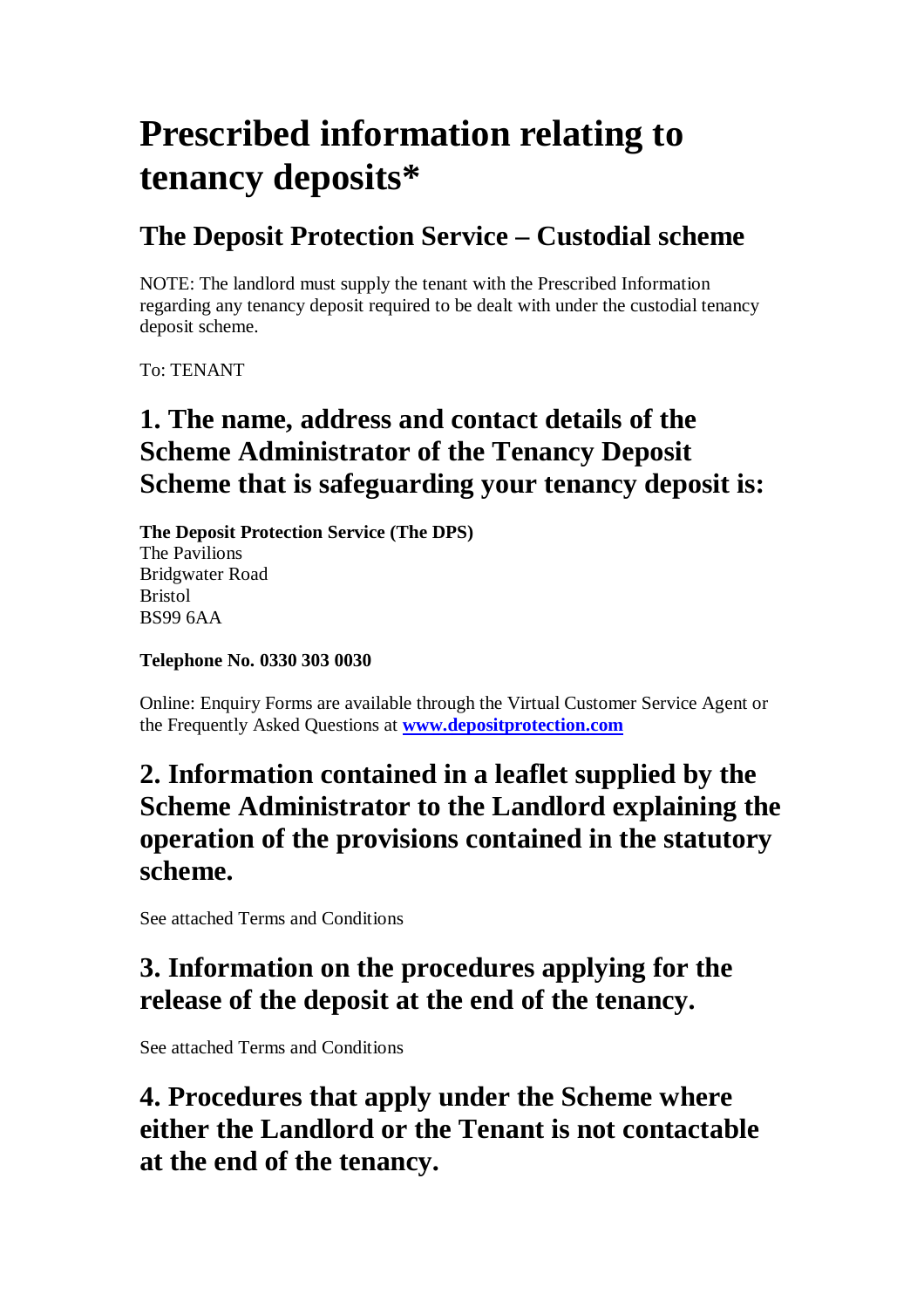# **Prescribed information relating to tenancy deposits\***

# **The Deposit Protection Service – Custodial scheme**

NOTE: The landlord must supply the tenant with the Prescribed Information regarding any tenancy deposit required to be dealt with under the custodial tenancy deposit scheme.

To: TENANT

# **1. The name, address and contact details of the Scheme Administrator of the Tenancy Deposit Scheme that is safeguarding your tenancy deposit is:**

**The Deposit Protection Service (The DPS)** The Pavilions Bridgwater Road Bristol BS99 6AA

**Telephone No. 0330 303 0030**

Online: Enquiry Forms are available through the Virtual Customer Service Agent or the Frequently Asked Questions at **www.depositprotection.com**

# **2. Information contained in a leaflet supplied by the Scheme Administrator to the Landlord explaining the operation of the provisions contained in the statutory scheme.**

See attached Terms and Conditions

# **3. Information on the procedures applying for the release of the deposit at the end of the tenancy.**

See attached Terms and Conditions

# **4. Procedures that apply under the Scheme where either the Landlord or the Tenant is not contactable at the end of the tenancy.**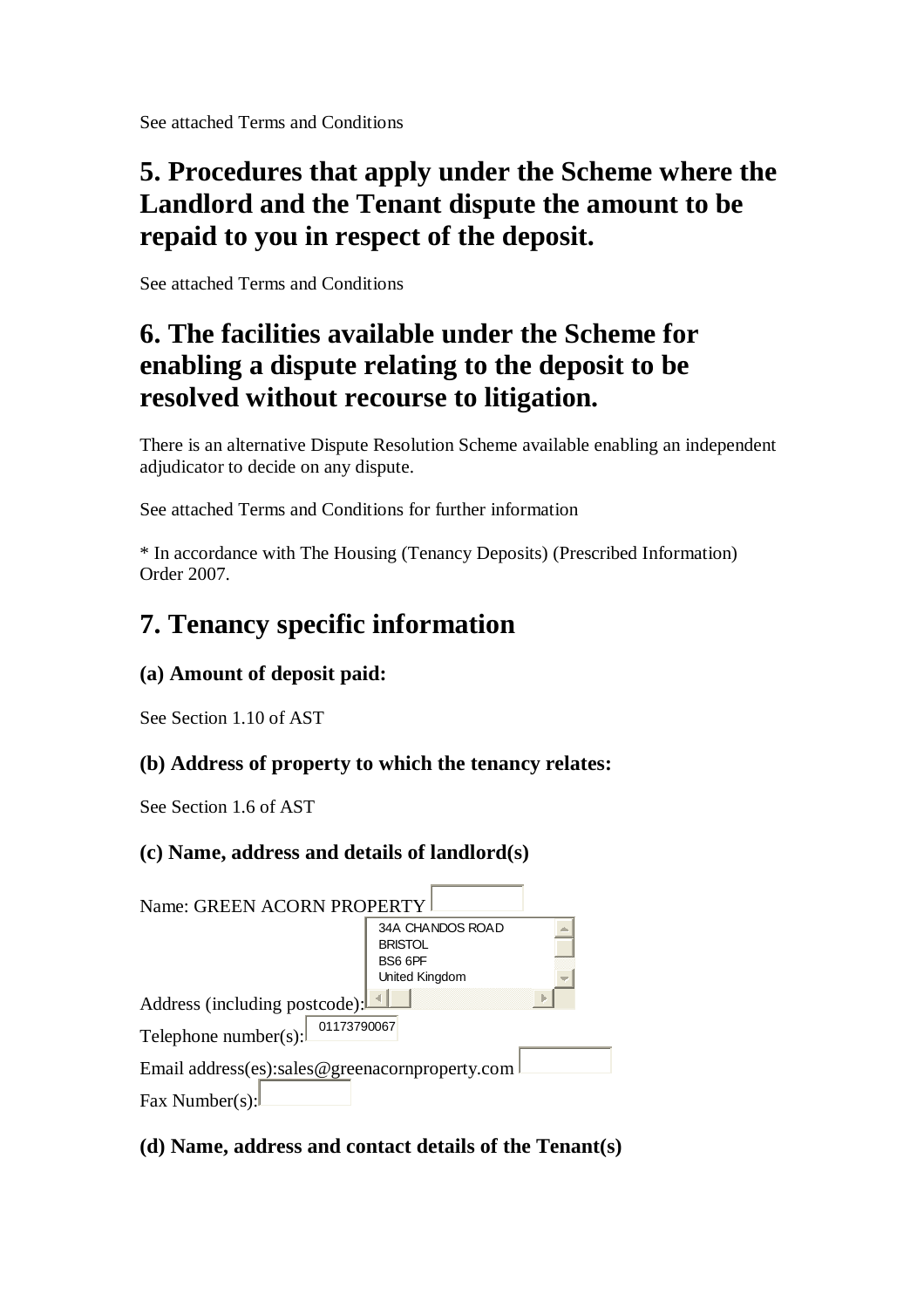See attached Terms and Conditions

# **5. Procedures that apply under the Scheme where the Landlord and the Tenant dispute the amount to be repaid to you in respect of the deposit.**

See attached Terms and Conditions

# **6. The facilities available under the Scheme for enabling a dispute relating to the deposit to be resolved without recourse to litigation.**

There is an alternative Dispute Resolution Scheme available enabling an independent adjudicator to decide on any dispute.

See attached Terms and Conditions for further information

\* In accordance with The Housing (Tenancy Deposits) (Prescribed Information) Order 2007.

# **7. Tenancy specific information**

### **(a) Amount of deposit paid:**

See Section 1.10 of AST

### **(b) Address of property to which the tenancy relates:**

See Section 1.6 of AST

### **(c) Name, address and details of landlord(s)**

| Name: GREEN ACORN PROPERTY                                           |                                    |  |  |  |
|----------------------------------------------------------------------|------------------------------------|--|--|--|
|                                                                      | 34A CHANDOS ROAD<br><b>BRISTOL</b> |  |  |  |
|                                                                      | BS6 6PF                            |  |  |  |
|                                                                      | United Kingdom                     |  |  |  |
| Address (including postcode):<br>01173790067<br>Telephone number(s): |                                    |  |  |  |
| Email address(es):sales@greenacornproperty.com                       |                                    |  |  |  |
| Fax Number(s):                                                       |                                    |  |  |  |

### **(d) Name, address and contact details of the Tenant(s)**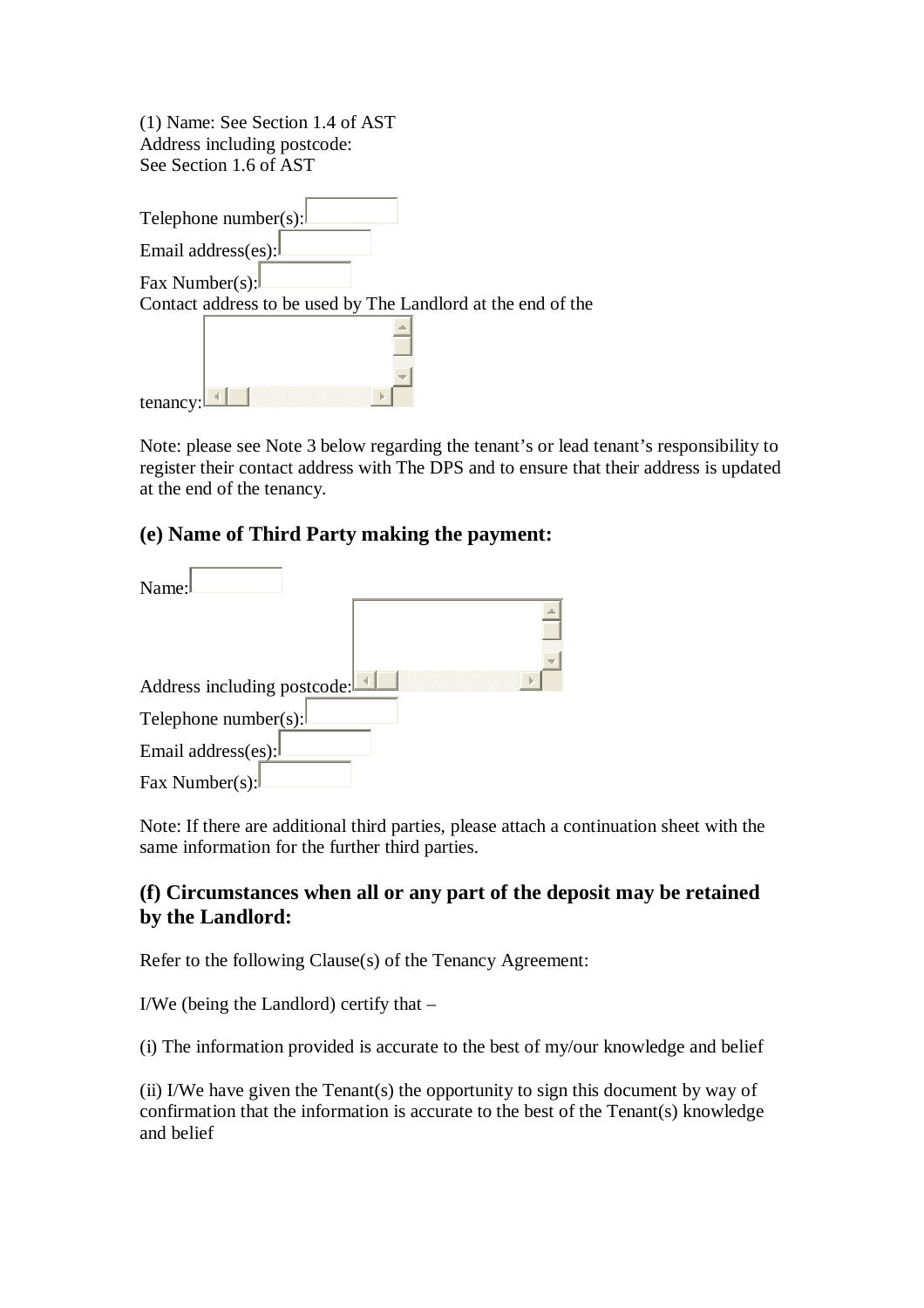(1) Name: See Section 1.4 of AST Address including postcode: See Section 1.6 of AST

| Telephone number(s): $\vert$                                 |
|--------------------------------------------------------------|
|                                                              |
| Email address(es):                                           |
| Fax Number(s):                                               |
|                                                              |
| Contact address to be used by The Landlord at the end of the |
|                                                              |
|                                                              |
|                                                              |
| tenanc                                                       |

Note: please see Note 3 below regarding the tenant's or lead tenant's responsibility to register their contact address with The DPS and to ensure that their address is updated at the end of the tenancy.

#### **(e) Name of Third Party making the payment:**

| Name:                       |  |  |
|-----------------------------|--|--|
|                             |  |  |
|                             |  |  |
| Address including postcode: |  |  |
| Telephone number(s):        |  |  |
| Email address(es):          |  |  |
| Fax Number(s):              |  |  |

Note: If there are additional third parties, please attach a continuation sheet with the same information for the further third parties.

#### **(f) Circumstances when all or any part of the deposit may be retained by the Landlord:**

Refer to the following Clause(s) of the Tenancy Agreement:

I/We (being the Landlord) certify that –

(i) The information provided is accurate to the best of my/our knowledge and belief

(ii) I/We have given the Tenant(s) the opportunity to sign this document by way of confirmation that the information is accurate to the best of the Tenant(s) knowledge and belief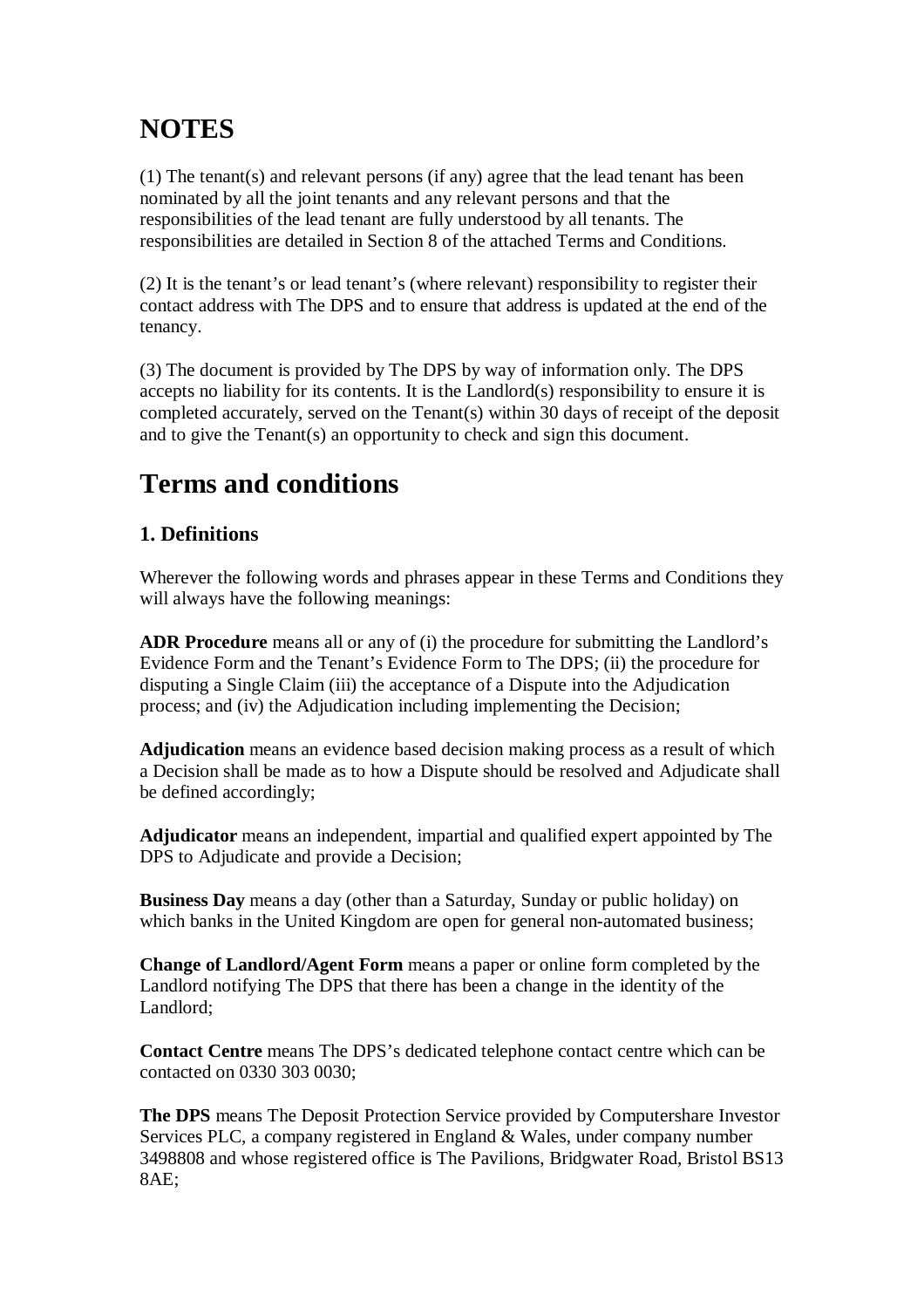# **NOTES**

(1) The tenant(s) and relevant persons (if any) agree that the lead tenant has been nominated by all the joint tenants and any relevant persons and that the responsibilities of the lead tenant are fully understood by all tenants. The responsibilities are detailed in Section 8 of the attached Terms and Conditions.

(2) It is the tenant's or lead tenant's (where relevant) responsibility to register their contact address with The DPS and to ensure that address is updated at the end of the tenancy.

(3) The document is provided by The DPS by way of information only. The DPS accepts no liability for its contents. It is the Landlord(s) responsibility to ensure it is completed accurately, served on the Tenant(s) within 30 days of receipt of the deposit and to give the Tenant(s) an opportunity to check and sign this document.

# **Terms and conditions**

### **1. Definitions**

Wherever the following words and phrases appear in these Terms and Conditions they will always have the following meanings:

**ADR Procedure** means all or any of (i) the procedure for submitting the Landlord's Evidence Form and the Tenant's Evidence Form to The DPS; (ii) the procedure for disputing a Single Claim (iii) the acceptance of a Dispute into the Adjudication process; and (iv) the Adjudication including implementing the Decision;

**Adjudication** means an evidence based decision making process as a result of which a Decision shall be made as to how a Dispute should be resolved and Adjudicate shall be defined accordingly;

**Adjudicator** means an independent, impartial and qualified expert appointed by The DPS to Adjudicate and provide a Decision;

**Business Day** means a day (other than a Saturday, Sunday or public holiday) on which banks in the United Kingdom are open for general non-automated business;

**Change of Landlord/Agent Form** means a paper or online form completed by the Landlord notifying The DPS that there has been a change in the identity of the Landlord;

**Contact Centre** means The DPS's dedicated telephone contact centre which can be contacted on 0330 303 0030;

**The DPS** means The Deposit Protection Service provided by Computershare Investor Services PLC, a company registered in England & Wales, under company number 3498808 and whose registered office is The Pavilions, Bridgwater Road, Bristol BS13 8AE;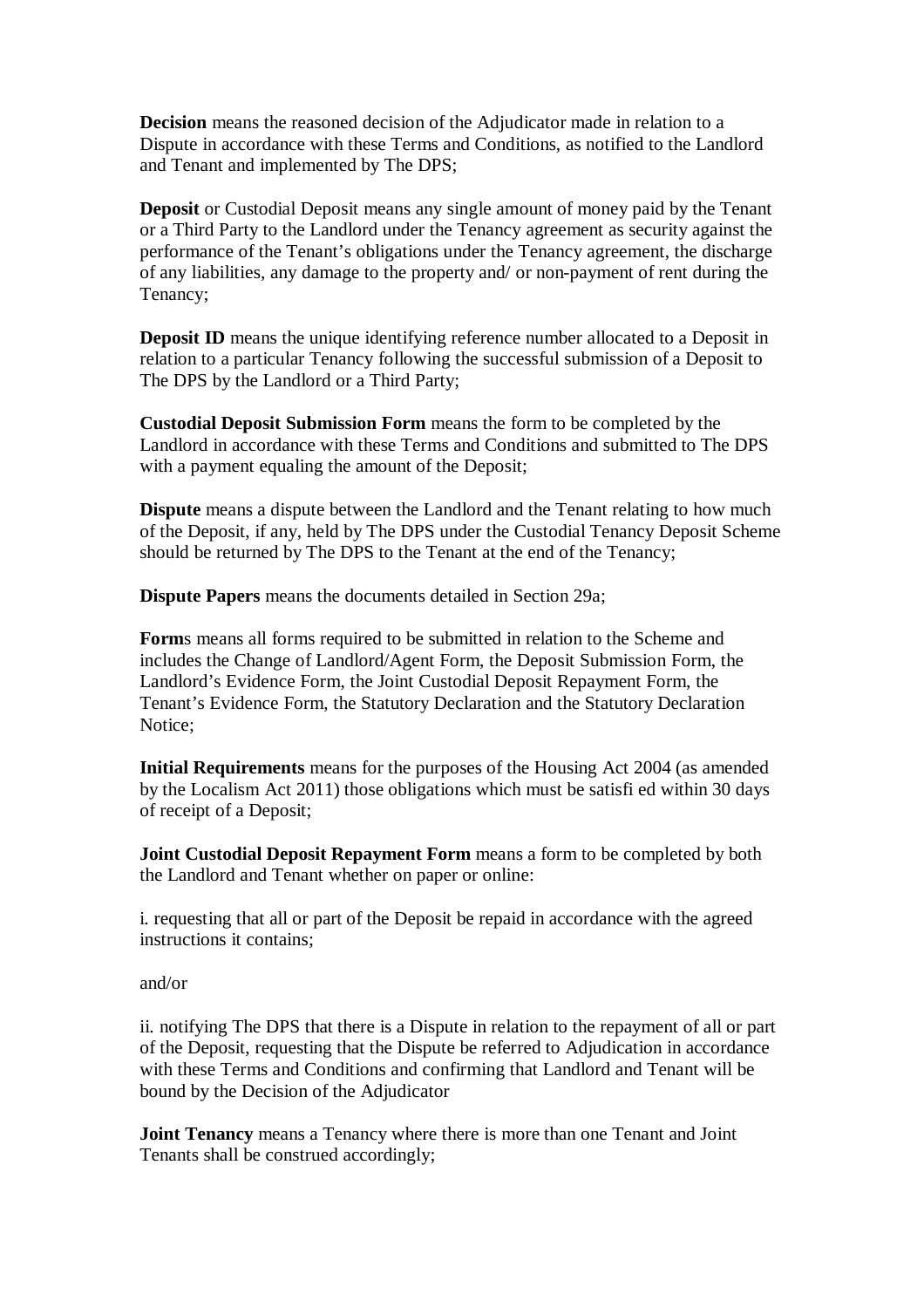**Decision** means the reasoned decision of the Adjudicator made in relation to a Dispute in accordance with these Terms and Conditions, as notified to the Landlord and Tenant and implemented by The DPS;

**Deposit** or Custodial Deposit means any single amount of money paid by the Tenant or a Third Party to the Landlord under the Tenancy agreement as security against the performance of the Tenant's obligations under the Tenancy agreement, the discharge of any liabilities, any damage to the property and/ or non-payment of rent during the Tenancy;

**Deposit ID** means the unique identifying reference number allocated to a Deposit in relation to a particular Tenancy following the successful submission of a Deposit to The DPS by the Landlord or a Third Party;

**Custodial Deposit Submission Form** means the form to be completed by the Landlord in accordance with these Terms and Conditions and submitted to The DPS with a payment equaling the amount of the Deposit;

**Dispute** means a dispute between the Landlord and the Tenant relating to how much of the Deposit, if any, held by The DPS under the Custodial Tenancy Deposit Scheme should be returned by The DPS to the Tenant at the end of the Tenancy;

**Dispute Papers** means the documents detailed in Section 29a;

**Form**s means all forms required to be submitted in relation to the Scheme and includes the Change of Landlord/Agent Form, the Deposit Submission Form, the Landlord's Evidence Form, the Joint Custodial Deposit Repayment Form, the Tenant's Evidence Form, the Statutory Declaration and the Statutory Declaration Notice;

**Initial Requirements** means for the purposes of the Housing Act 2004 (as amended by the Localism Act 2011) those obligations which must be satisfi ed within 30 days of receipt of a Deposit;

**Joint Custodial Deposit Repayment Form** means a form to be completed by both the Landlord and Tenant whether on paper or online:

i. requesting that all or part of the Deposit be repaid in accordance with the agreed instructions it contains;

and/or

ii. notifying The DPS that there is a Dispute in relation to the repayment of all or part of the Deposit, requesting that the Dispute be referred to Adjudication in accordance with these Terms and Conditions and confirming that Landlord and Tenant will be bound by the Decision of the Adjudicator

**Joint Tenancy** means a Tenancy where there is more than one Tenant and Joint Tenants shall be construed accordingly;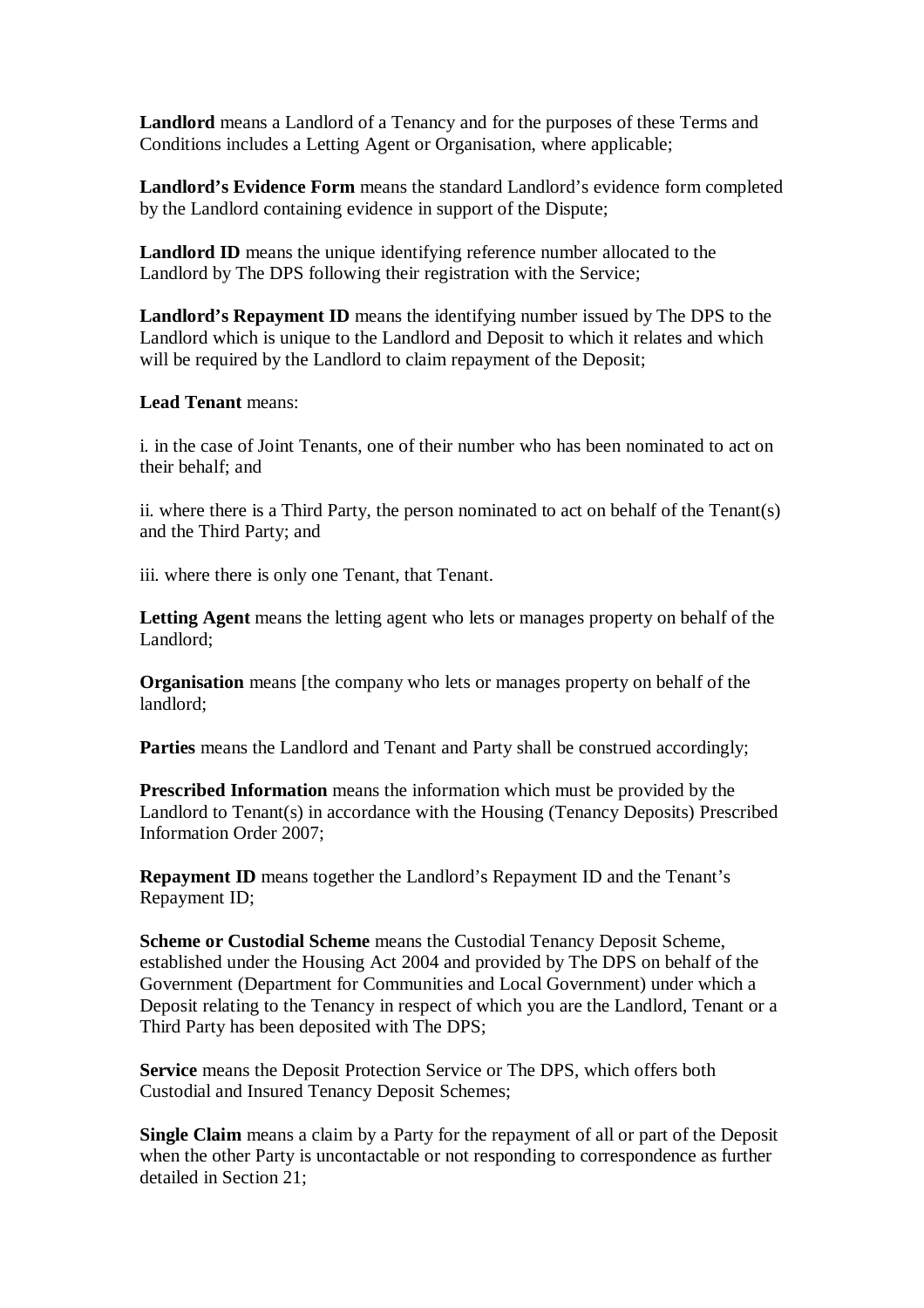**Landlord** means a Landlord of a Tenancy and for the purposes of these Terms and Conditions includes a Letting Agent or Organisation, where applicable;

**Landlord's Evidence Form** means the standard Landlord's evidence form completed by the Landlord containing evidence in support of the Dispute;

**Landlord ID** means the unique identifying reference number allocated to the Landlord by The DPS following their registration with the Service;

**Landlord's Repayment ID** means the identifying number issued by The DPS to the Landlord which is unique to the Landlord and Deposit to which it relates and which will be required by the Landlord to claim repayment of the Deposit;

#### **Lead Tenant** means:

i. in the case of Joint Tenants, one of their number who has been nominated to act on their behalf; and

ii. where there is a Third Party, the person nominated to act on behalf of the Tenant(s) and the Third Party; and

iii. where there is only one Tenant, that Tenant.

**Letting Agent** means the letting agent who lets or manages property on behalf of the Landlord;

**Organisation** means [the company who lets or manages property on behalf of the landlord;

**Parties** means the Landlord and Tenant and Party shall be construed accordingly;

**Prescribed Information** means the information which must be provided by the Landlord to Tenant(s) in accordance with the Housing (Tenancy Deposits) Prescribed Information Order 2007;

**Repayment ID** means together the Landlord's Repayment ID and the Tenant's Repayment ID;

**Scheme or Custodial Scheme** means the Custodial Tenancy Deposit Scheme, established under the Housing Act 2004 and provided by The DPS on behalf of the Government (Department for Communities and Local Government) under which a Deposit relating to the Tenancy in respect of which you are the Landlord, Tenant or a Third Party has been deposited with The DPS;

**Service** means the Deposit Protection Service or The DPS, which offers both Custodial and Insured Tenancy Deposit Schemes;

**Single Claim** means a claim by a Party for the repayment of all or part of the Deposit when the other Party is uncontactable or not responding to correspondence as further detailed in Section 21;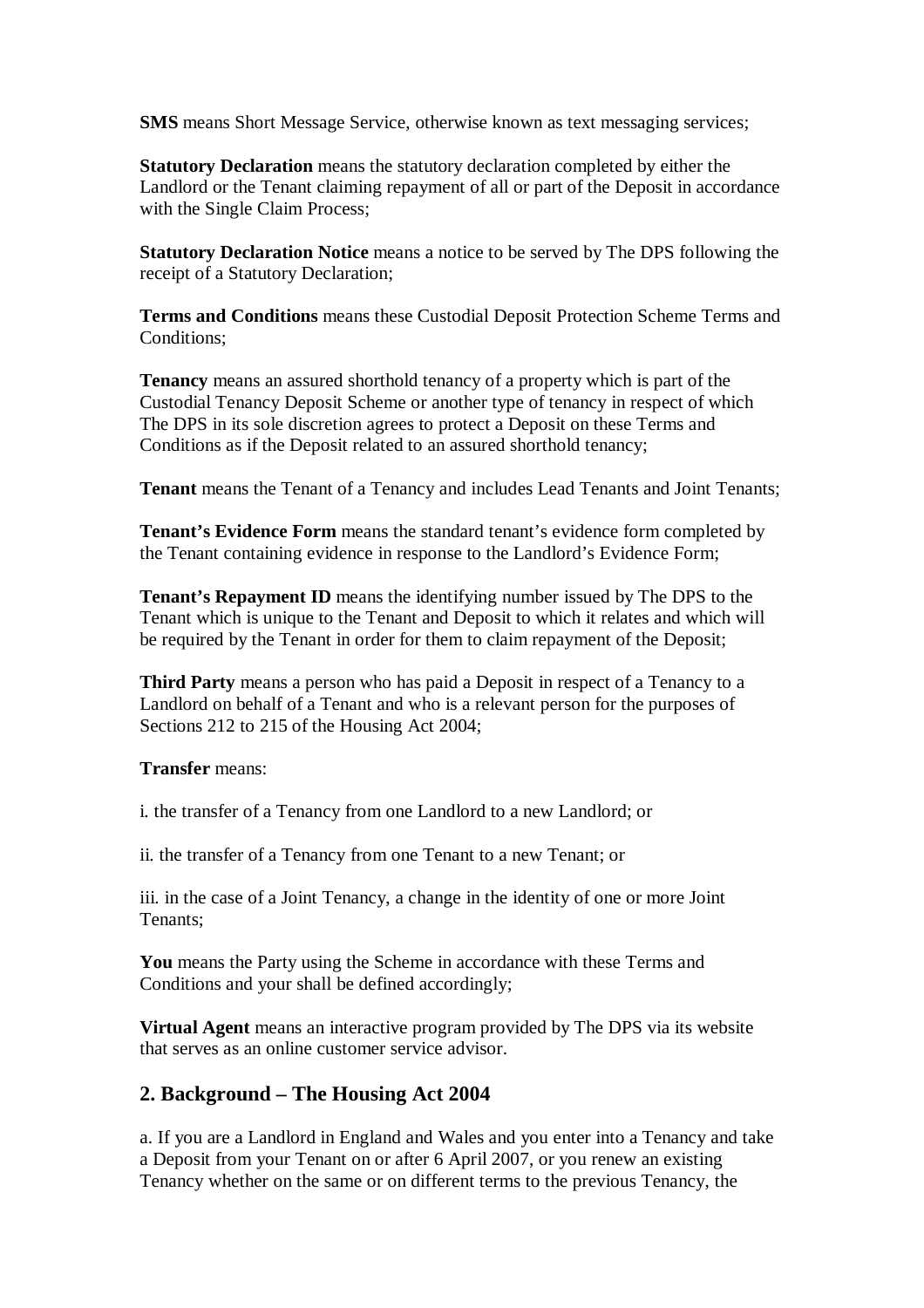**SMS** means Short Message Service, otherwise known as text messaging services;

**Statutory Declaration** means the statutory declaration completed by either the Landlord or the Tenant claiming repayment of all or part of the Deposit in accordance with the Single Claim Process;

**Statutory Declaration Notice** means a notice to be served by The DPS following the receipt of a Statutory Declaration;

**Terms and Conditions** means these Custodial Deposit Protection Scheme Terms and Conditions;

**Tenancy** means an assured shorthold tenancy of a property which is part of the Custodial Tenancy Deposit Scheme or another type of tenancy in respect of which The DPS in its sole discretion agrees to protect a Deposit on these Terms and Conditions as if the Deposit related to an assured shorthold tenancy;

**Tenant** means the Tenant of a Tenancy and includes Lead Tenants and Joint Tenants;

**Tenant's Evidence Form** means the standard tenant's evidence form completed by the Tenant containing evidence in response to the Landlord's Evidence Form;

**Tenant's Repayment ID** means the identifying number issued by The DPS to the Tenant which is unique to the Tenant and Deposit to which it relates and which will be required by the Tenant in order for them to claim repayment of the Deposit;

**Third Party** means a person who has paid a Deposit in respect of a Tenancy to a Landlord on behalf of a Tenant and who is a relevant person for the purposes of Sections 212 to 215 of the Housing Act 2004;

#### **Transfer** means:

i. the transfer of a Tenancy from one Landlord to a new Landlord; or

ii. the transfer of a Tenancy from one Tenant to a new Tenant; or

iii. in the case of a Joint Tenancy, a change in the identity of one or more Joint Tenants;

**You** means the Party using the Scheme in accordance with these Terms and Conditions and your shall be defined accordingly;

**Virtual Agent** means an interactive program provided by The DPS via its website that serves as an online customer service advisor.

#### **2. Background – The Housing Act 2004**

a. If you are a Landlord in England and Wales and you enter into a Tenancy and take a Deposit from your Tenant on or after 6 April 2007, or you renew an existing Tenancy whether on the same or on different terms to the previous Tenancy, the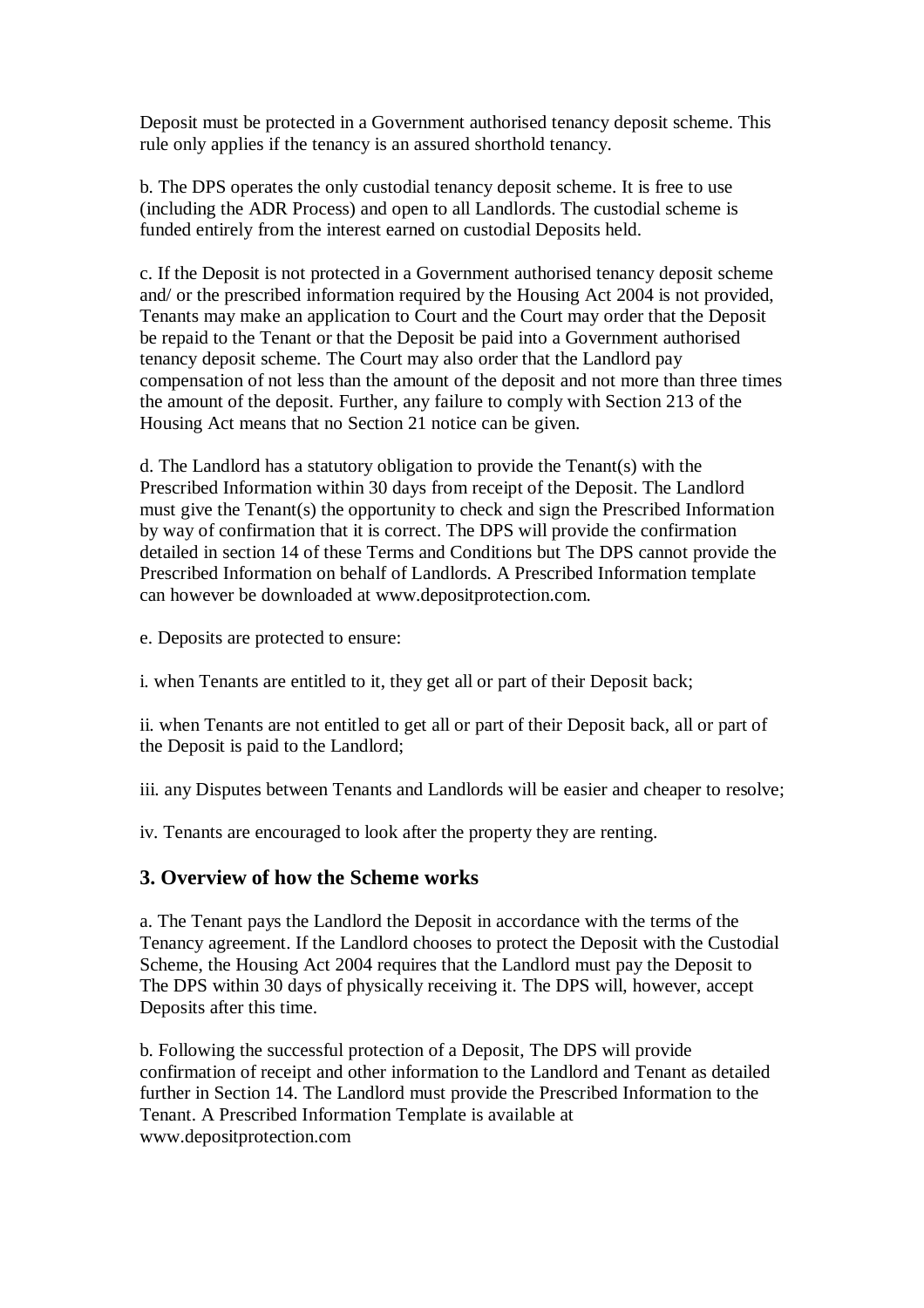Deposit must be protected in a Government authorised tenancy deposit scheme. This rule only applies if the tenancy is an assured shorthold tenancy.

b. The DPS operates the only custodial tenancy deposit scheme. It is free to use (including the ADR Process) and open to all Landlords. The custodial scheme is funded entirely from the interest earned on custodial Deposits held.

c. If the Deposit is not protected in a Government authorised tenancy deposit scheme and/ or the prescribed information required by the Housing Act 2004 is not provided, Tenants may make an application to Court and the Court may order that the Deposit be repaid to the Tenant or that the Deposit be paid into a Government authorised tenancy deposit scheme. The Court may also order that the Landlord pay compensation of not less than the amount of the deposit and not more than three times the amount of the deposit. Further, any failure to comply with Section 213 of the Housing Act means that no Section 21 notice can be given.

d. The Landlord has a statutory obligation to provide the Tenant(s) with the Prescribed Information within 30 days from receipt of the Deposit. The Landlord must give the Tenant(s) the opportunity to check and sign the Prescribed Information by way of confirmation that it is correct. The DPS will provide the confirmation detailed in section 14 of these Terms and Conditions but The DPS cannot provide the Prescribed Information on behalf of Landlords. A Prescribed Information template can however be downloaded at www.depositprotection.com.

e. Deposits are protected to ensure:

i. when Tenants are entitled to it, they get all or part of their Deposit back;

ii. when Tenants are not entitled to get all or part of their Deposit back, all or part of the Deposit is paid to the Landlord;

iii. any Disputes between Tenants and Landlords will be easier and cheaper to resolve;

iv. Tenants are encouraged to look after the property they are renting.

#### **3. Overview of how the Scheme works**

a. The Tenant pays the Landlord the Deposit in accordance with the terms of the Tenancy agreement. If the Landlord chooses to protect the Deposit with the Custodial Scheme, the Housing Act 2004 requires that the Landlord must pay the Deposit to The DPS within 30 days of physically receiving it. The DPS will, however, accept Deposits after this time.

b. Following the successful protection of a Deposit, The DPS will provide confirmation of receipt and other information to the Landlord and Tenant as detailed further in Section 14. The Landlord must provide the Prescribed Information to the Tenant. A Prescribed Information Template is available at www.depositprotection.com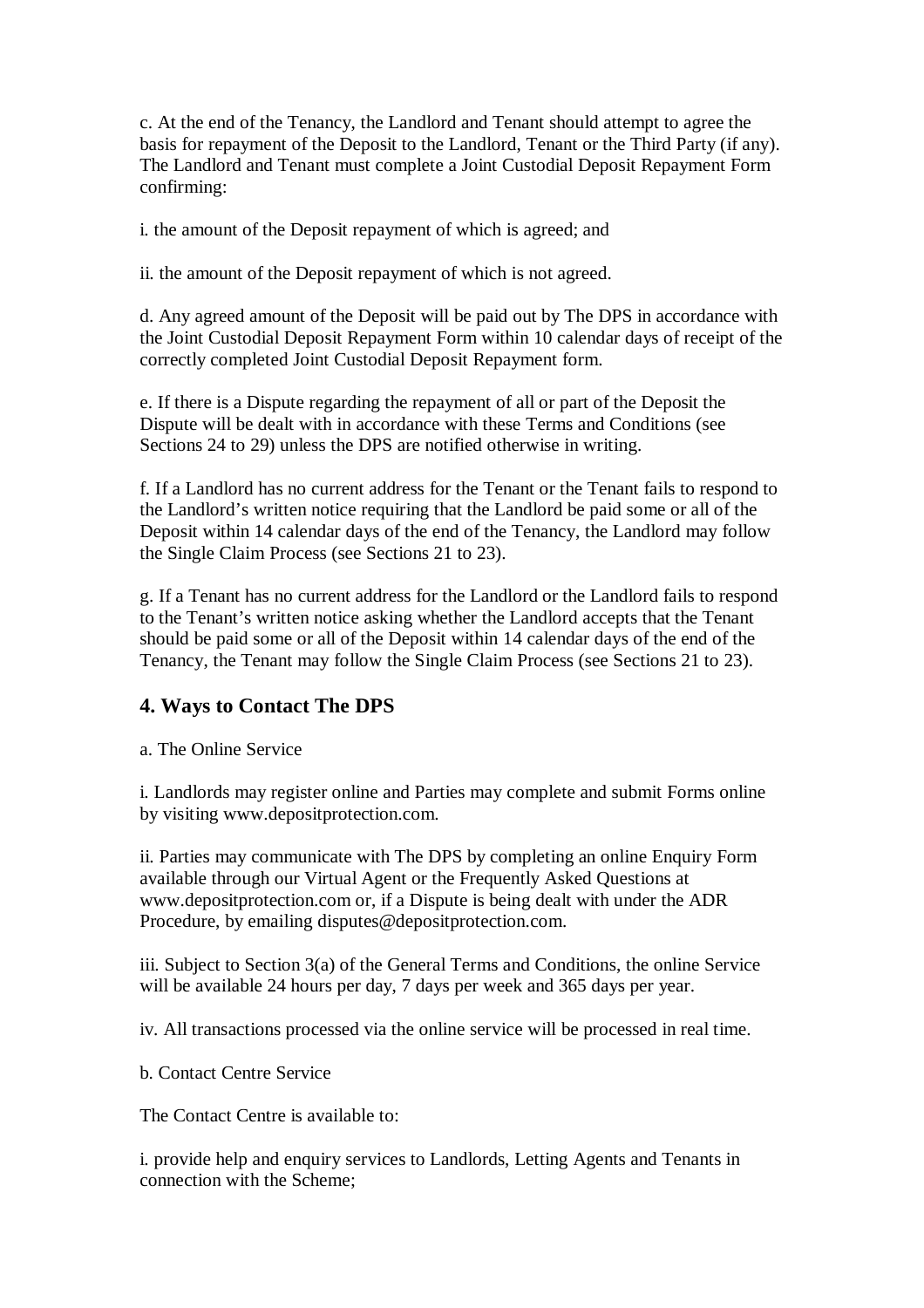c. At the end of the Tenancy, the Landlord and Tenant should attempt to agree the basis for repayment of the Deposit to the Landlord, Tenant or the Third Party (if any). The Landlord and Tenant must complete a Joint Custodial Deposit Repayment Form confirming:

i. the amount of the Deposit repayment of which is agreed; and

ii. the amount of the Deposit repayment of which is not agreed.

d. Any agreed amount of the Deposit will be paid out by The DPS in accordance with the Joint Custodial Deposit Repayment Form within 10 calendar days of receipt of the correctly completed Joint Custodial Deposit Repayment form.

e. If there is a Dispute regarding the repayment of all or part of the Deposit the Dispute will be dealt with in accordance with these Terms and Conditions (see Sections 24 to 29) unless the DPS are notified otherwise in writing.

f. If a Landlord has no current address for the Tenant or the Tenant fails to respond to the Landlord's written notice requiring that the Landlord be paid some or all of the Deposit within 14 calendar days of the end of the Tenancy, the Landlord may follow the Single Claim Process (see Sections 21 to 23).

g. If a Tenant has no current address for the Landlord or the Landlord fails to respond to the Tenant's written notice asking whether the Landlord accepts that the Tenant should be paid some or all of the Deposit within 14 calendar days of the end of the Tenancy, the Tenant may follow the Single Claim Process (see Sections 21 to 23).

### **4. Ways to Contact The DPS**

a. The Online Service

i. Landlords may register online and Parties may complete and submit Forms online by visiting www.depositprotection.com.

ii. Parties may communicate with The DPS by completing an online Enquiry Form available through our Virtual Agent or the Frequently Asked Questions at www.depositprotection.com or, if a Dispute is being dealt with under the ADR Procedure, by emailing disputes@depositprotection.com.

iii. Subject to Section 3(a) of the General Terms and Conditions, the online Service will be available 24 hours per day, 7 days per week and 365 days per year.

iv. All transactions processed via the online service will be processed in real time.

b. Contact Centre Service

The Contact Centre is available to:

i. provide help and enquiry services to Landlords, Letting Agents and Tenants in connection with the Scheme;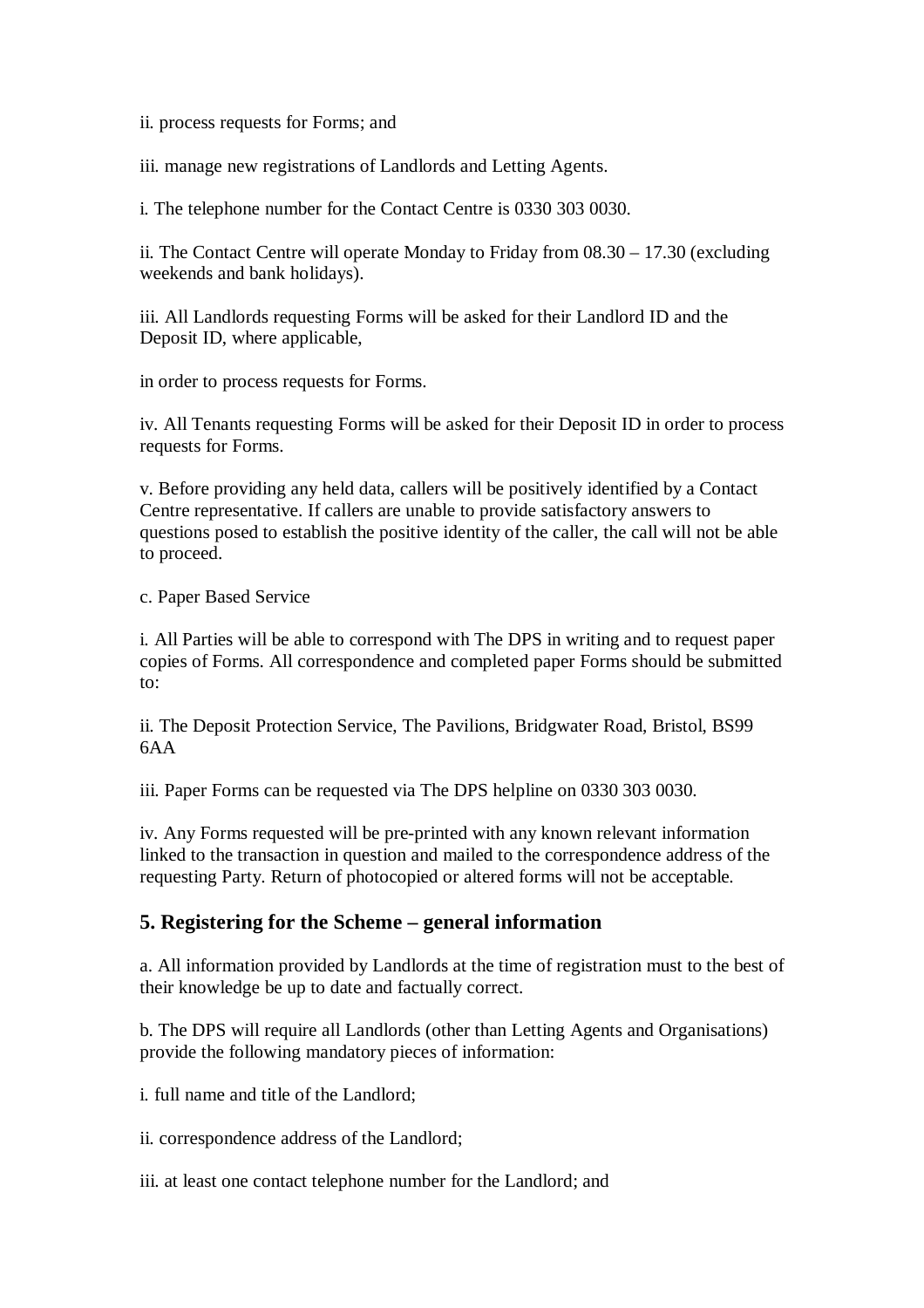ii. process requests for Forms; and

iii. manage new registrations of Landlords and Letting Agents.

i. The telephone number for the Contact Centre is 0330 303 0030.

ii. The Contact Centre will operate Monday to Friday from 08.30 – 17.30 (excluding weekends and bank holidays).

iii. All Landlords requesting Forms will be asked for their Landlord ID and the Deposit ID, where applicable,

in order to process requests for Forms.

iv. All Tenants requesting Forms will be asked for their Deposit ID in order to process requests for Forms.

v. Before providing any held data, callers will be positively identified by a Contact Centre representative. If callers are unable to provide satisfactory answers to questions posed to establish the positive identity of the caller, the call will not be able to proceed.

c. Paper Based Service

i. All Parties will be able to correspond with The DPS in writing and to request paper copies of Forms. All correspondence and completed paper Forms should be submitted to:

ii. The Deposit Protection Service, The Pavilions, Bridgwater Road, Bristol, BS99 6AA

iii. Paper Forms can be requested via The DPS helpline on 0330 303 0030.

iv. Any Forms requested will be pre-printed with any known relevant information linked to the transaction in question and mailed to the correspondence address of the requesting Party. Return of photocopied or altered forms will not be acceptable.

#### **5. Registering for the Scheme – general information**

a. All information provided by Landlords at the time of registration must to the best of their knowledge be up to date and factually correct.

b. The DPS will require all Landlords (other than Letting Agents and Organisations) provide the following mandatory pieces of information:

i. full name and title of the Landlord;

ii. correspondence address of the Landlord;

iii. at least one contact telephone number for the Landlord; and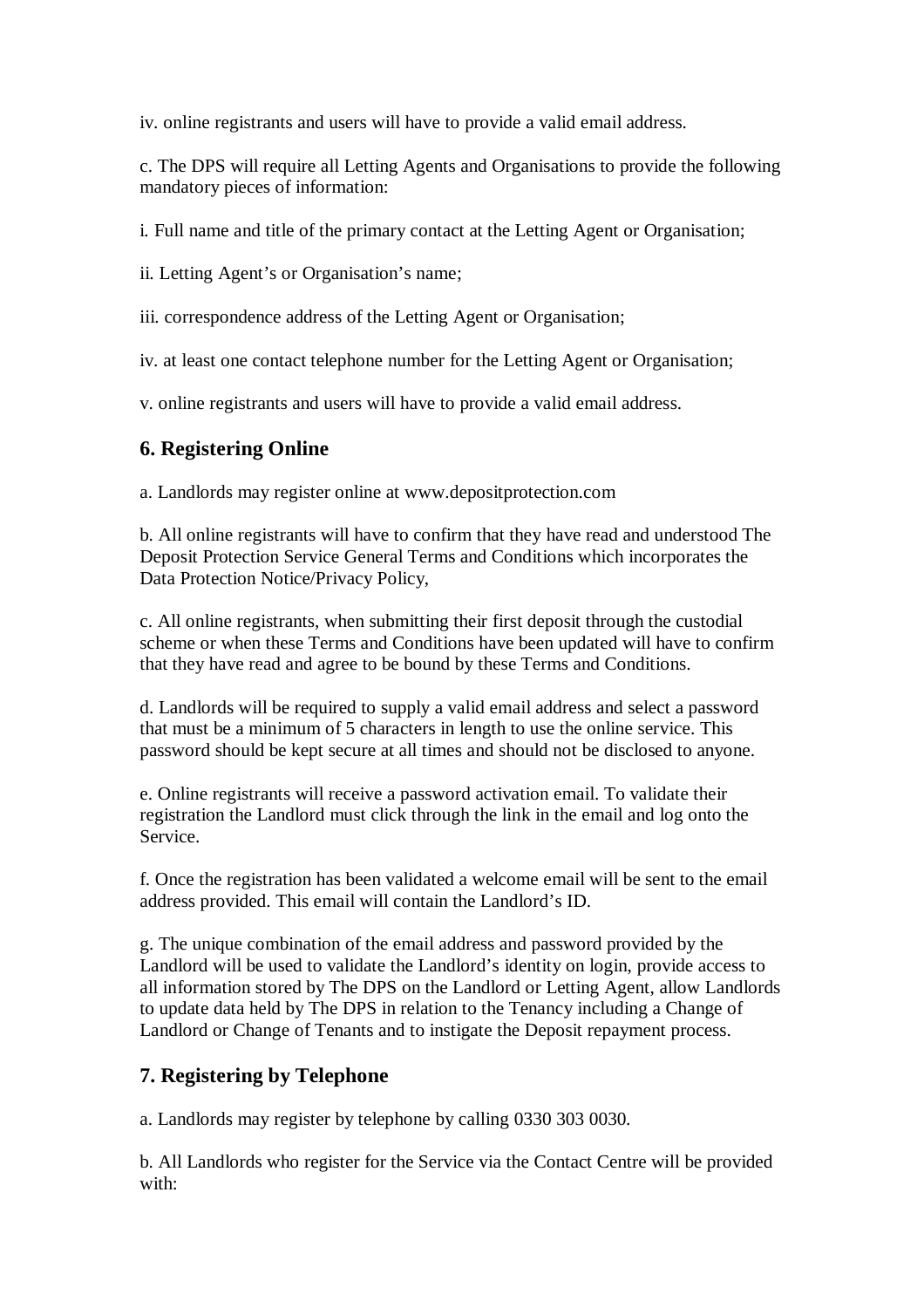iv. online registrants and users will have to provide a valid email address.

c. The DPS will require all Letting Agents and Organisations to provide the following mandatory pieces of information:

i. Full name and title of the primary contact at the Letting Agent or Organisation;

ii. Letting Agent's or Organisation's name;

iii. correspondence address of the Letting Agent or Organisation;

iv. at least one contact telephone number for the Letting Agent or Organisation;

v. online registrants and users will have to provide a valid email address.

### **6. Registering Online**

a. Landlords may register online at www.depositprotection.com

b. All online registrants will have to confirm that they have read and understood The Deposit Protection Service General Terms and Conditions which incorporates the Data Protection Notice/Privacy Policy,

c. All online registrants, when submitting their first deposit through the custodial scheme or when these Terms and Conditions have been updated will have to confirm that they have read and agree to be bound by these Terms and Conditions.

d. Landlords will be required to supply a valid email address and select a password that must be a minimum of 5 characters in length to use the online service. This password should be kept secure at all times and should not be disclosed to anyone.

e. Online registrants will receive a password activation email. To validate their registration the Landlord must click through the link in the email and log onto the Service.

f. Once the registration has been validated a welcome email will be sent to the email address provided. This email will contain the Landlord's ID.

g. The unique combination of the email address and password provided by the Landlord will be used to validate the Landlord's identity on login, provide access to all information stored by The DPS on the Landlord or Letting Agent, allow Landlords to update data held by The DPS in relation to the Tenancy including a Change of Landlord or Change of Tenants and to instigate the Deposit repayment process.

### **7. Registering by Telephone**

a. Landlords may register by telephone by calling 0330 303 0030.

b. All Landlords who register for the Service via the Contact Centre will be provided with: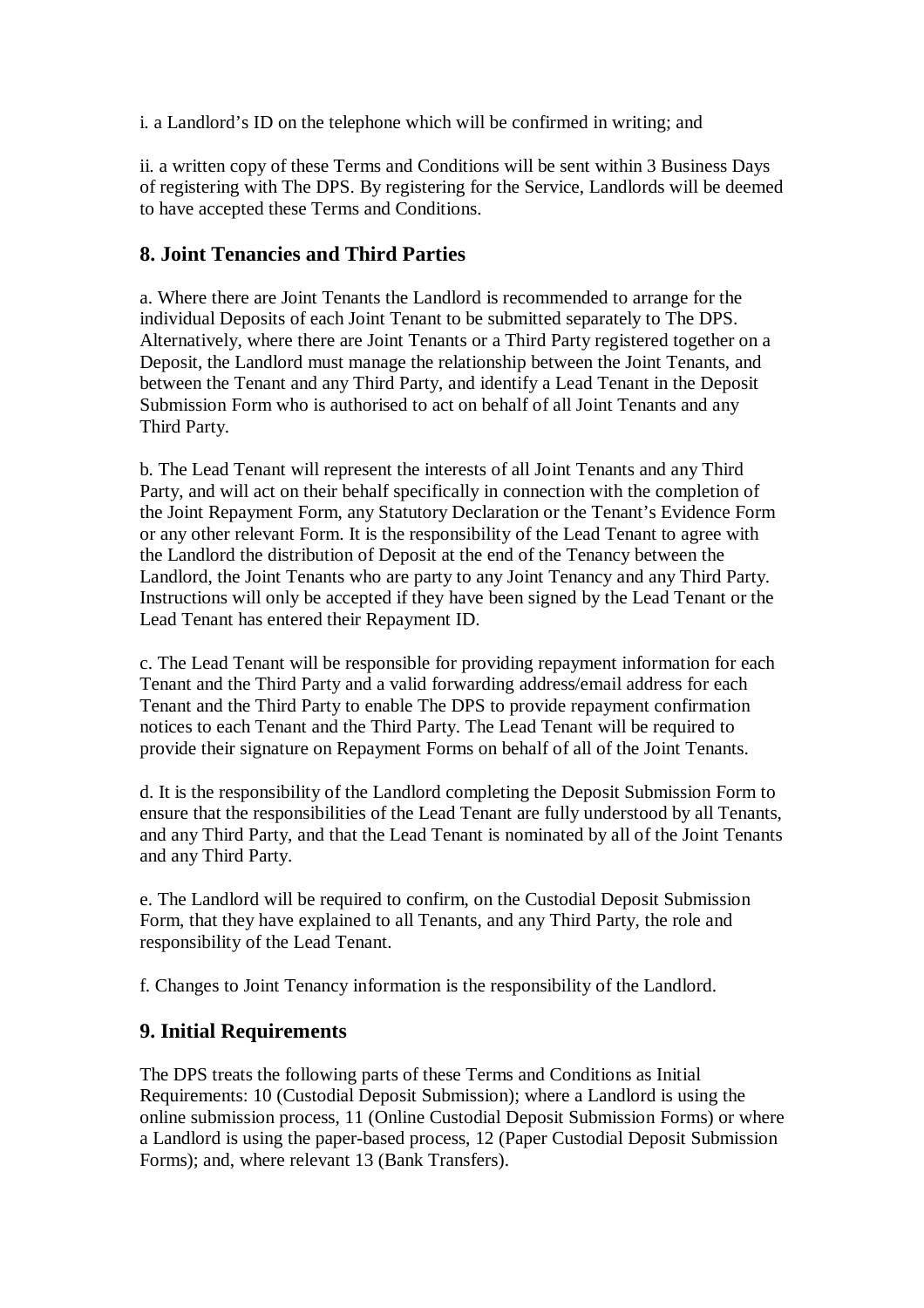i. a Landlord's ID on the telephone which will be confirmed in writing; and

ii. a written copy of these Terms and Conditions will be sent within 3 Business Days of registering with The DPS. By registering for the Service, Landlords will be deemed to have accepted these Terms and Conditions.

#### **8. Joint Tenancies and Third Parties**

a. Where there are Joint Tenants the Landlord is recommended to arrange for the individual Deposits of each Joint Tenant to be submitted separately to The DPS. Alternatively, where there are Joint Tenants or a Third Party registered together on a Deposit, the Landlord must manage the relationship between the Joint Tenants, and between the Tenant and any Third Party, and identify a Lead Tenant in the Deposit Submission Form who is authorised to act on behalf of all Joint Tenants and any Third Party.

b. The Lead Tenant will represent the interests of all Joint Tenants and any Third Party, and will act on their behalf specifically in connection with the completion of the Joint Repayment Form, any Statutory Declaration or the Tenant's Evidence Form or any other relevant Form. It is the responsibility of the Lead Tenant to agree with the Landlord the distribution of Deposit at the end of the Tenancy between the Landlord, the Joint Tenants who are party to any Joint Tenancy and any Third Party. Instructions will only be accepted if they have been signed by the Lead Tenant or the Lead Tenant has entered their Repayment ID.

c. The Lead Tenant will be responsible for providing repayment information for each Tenant and the Third Party and a valid forwarding address/email address for each Tenant and the Third Party to enable The DPS to provide repayment confirmation notices to each Tenant and the Third Party. The Lead Tenant will be required to provide their signature on Repayment Forms on behalf of all of the Joint Tenants.

d. It is the responsibility of the Landlord completing the Deposit Submission Form to ensure that the responsibilities of the Lead Tenant are fully understood by all Tenants, and any Third Party, and that the Lead Tenant is nominated by all of the Joint Tenants and any Third Party.

e. The Landlord will be required to confirm, on the Custodial Deposit Submission Form, that they have explained to all Tenants, and any Third Party, the role and responsibility of the Lead Tenant.

f. Changes to Joint Tenancy information is the responsibility of the Landlord.

### **9. Initial Requirements**

The DPS treats the following parts of these Terms and Conditions as Initial Requirements: 10 (Custodial Deposit Submission); where a Landlord is using the online submission process, 11 (Online Custodial Deposit Submission Forms) or where a Landlord is using the paper-based process, 12 (Paper Custodial Deposit Submission Forms); and, where relevant 13 (Bank Transfers).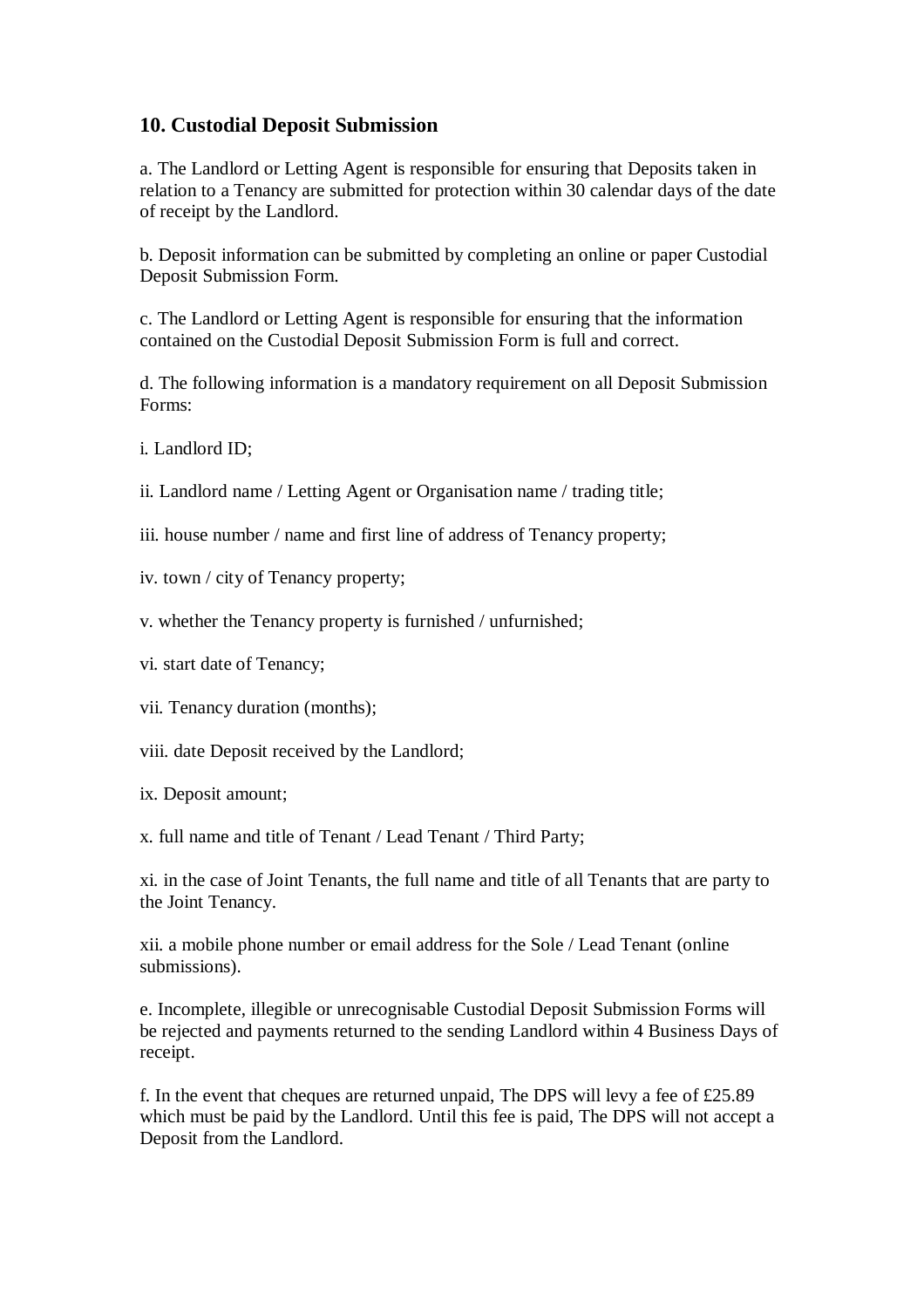#### **10. Custodial Deposit Submission**

a. The Landlord or Letting Agent is responsible for ensuring that Deposits taken in relation to a Tenancy are submitted for protection within 30 calendar days of the date of receipt by the Landlord.

b. Deposit information can be submitted by completing an online or paper Custodial Deposit Submission Form.

c. The Landlord or Letting Agent is responsible for ensuring that the information contained on the Custodial Deposit Submission Form is full and correct.

d. The following information is a mandatory requirement on all Deposit Submission Forms:

i. Landlord ID;

- ii. Landlord name / Letting Agent or Organisation name / trading title;
- iii. house number / name and first line of address of Tenancy property;
- iv. town / city of Tenancy property;
- v. whether the Tenancy property is furnished / unfurnished;
- vi. start date of Tenancy;
- vii. Tenancy duration (months);
- viii. date Deposit received by the Landlord;

ix. Deposit amount;

x. full name and title of Tenant / Lead Tenant / Third Party;

xi. in the case of Joint Tenants, the full name and title of all Tenants that are party to the Joint Tenancy.

xii. a mobile phone number or email address for the Sole / Lead Tenant (online submissions).

e. Incomplete, illegible or unrecognisable Custodial Deposit Submission Forms will be rejected and payments returned to the sending Landlord within 4 Business Days of receipt.

f. In the event that cheques are returned unpaid, The DPS will levy a fee of £25.89 which must be paid by the Landlord. Until this fee is paid, The DPS will not accept a Deposit from the Landlord.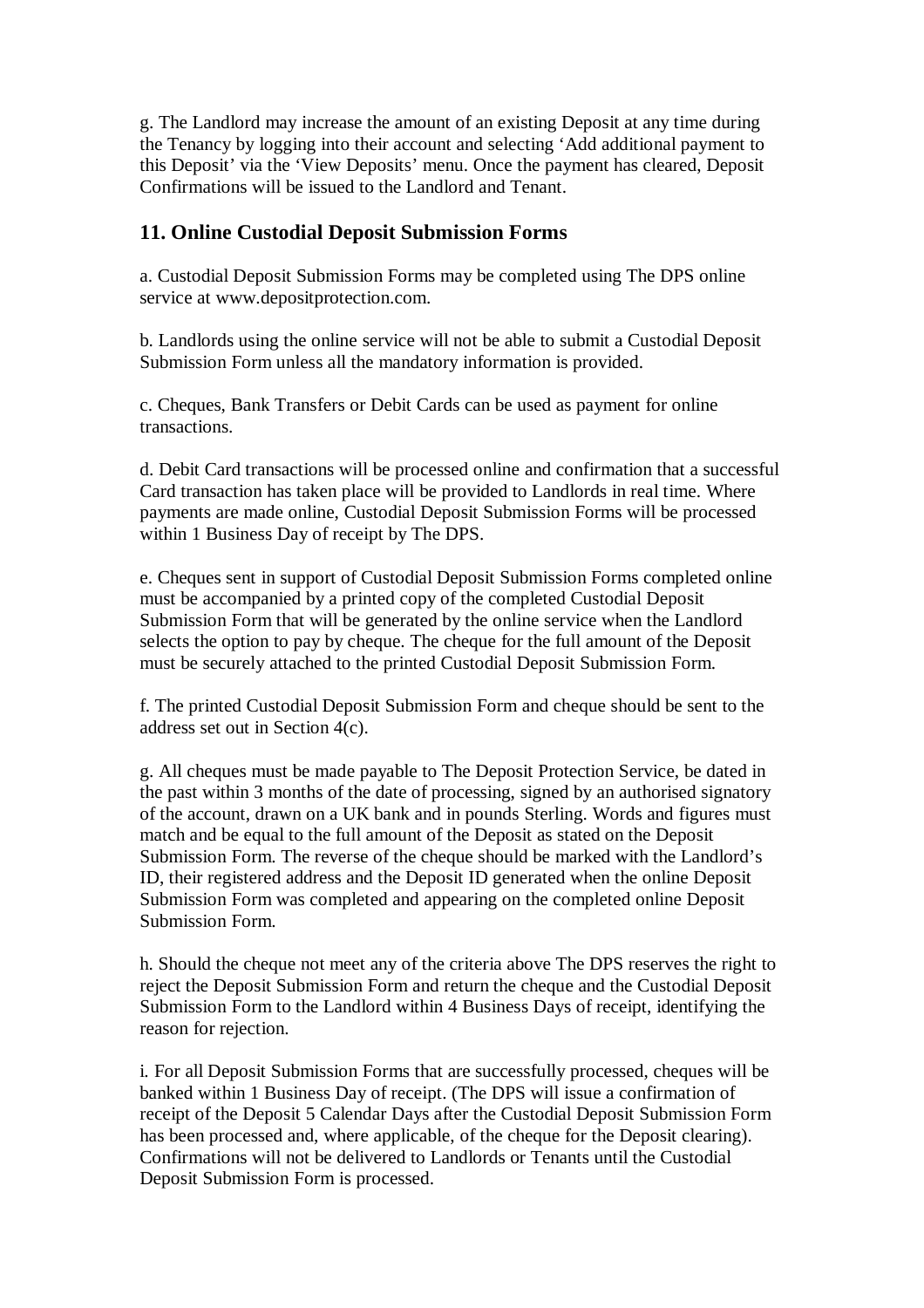g. The Landlord may increase the amount of an existing Deposit at any time during the Tenancy by logging into their account and selecting 'Add additional payment to this Deposit' via the 'View Deposits' menu. Once the payment has cleared, Deposit Confirmations will be issued to the Landlord and Tenant.

#### **11. Online Custodial Deposit Submission Forms**

a. Custodial Deposit Submission Forms may be completed using The DPS online service at www.depositprotection.com.

b. Landlords using the online service will not be able to submit a Custodial Deposit Submission Form unless all the mandatory information is provided.

c. Cheques, Bank Transfers or Debit Cards can be used as payment for online transactions.

d. Debit Card transactions will be processed online and confirmation that a successful Card transaction has taken place will be provided to Landlords in real time. Where payments are made online, Custodial Deposit Submission Forms will be processed within 1 Business Day of receipt by The DPS.

e. Cheques sent in support of Custodial Deposit Submission Forms completed online must be accompanied by a printed copy of the completed Custodial Deposit Submission Form that will be generated by the online service when the Landlord selects the option to pay by cheque. The cheque for the full amount of the Deposit must be securely attached to the printed Custodial Deposit Submission Form.

f. The printed Custodial Deposit Submission Form and cheque should be sent to the address set out in Section 4(c).

g. All cheques must be made payable to The Deposit Protection Service, be dated in the past within 3 months of the date of processing, signed by an authorised signatory of the account, drawn on a UK bank and in pounds Sterling. Words and figures must match and be equal to the full amount of the Deposit as stated on the Deposit Submission Form. The reverse of the cheque should be marked with the Landlord's ID, their registered address and the Deposit ID generated when the online Deposit Submission Form was completed and appearing on the completed online Deposit Submission Form.

h. Should the cheque not meet any of the criteria above The DPS reserves the right to reject the Deposit Submission Form and return the cheque and the Custodial Deposit Submission Form to the Landlord within 4 Business Days of receipt, identifying the reason for rejection.

i. For all Deposit Submission Forms that are successfully processed, cheques will be banked within 1 Business Day of receipt. (The DPS will issue a confirmation of receipt of the Deposit 5 Calendar Days after the Custodial Deposit Submission Form has been processed and, where applicable, of the cheque for the Deposit clearing). Confirmations will not be delivered to Landlords or Tenants until the Custodial Deposit Submission Form is processed.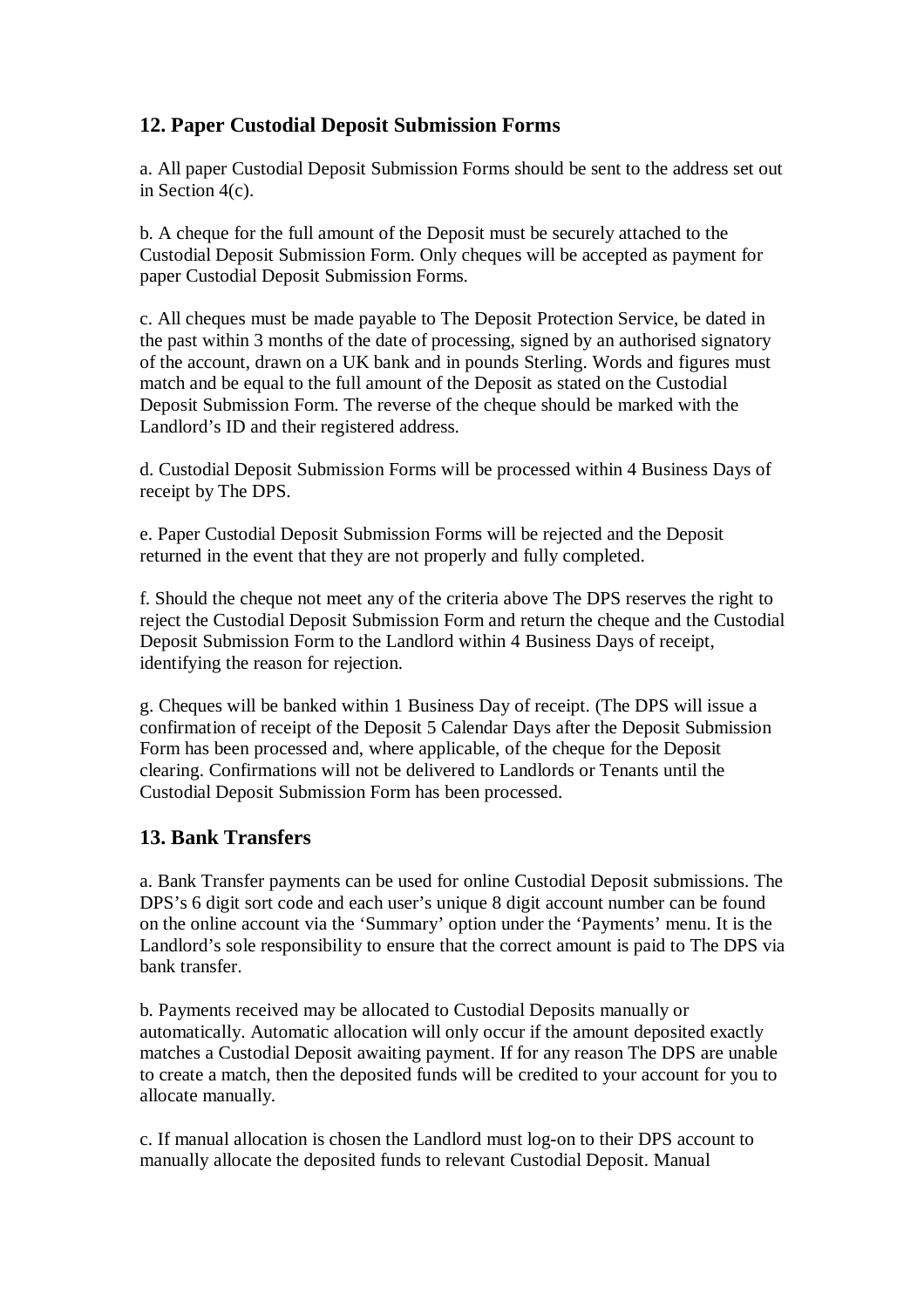#### **12. Paper Custodial Deposit Submission Forms**

a. All paper Custodial Deposit Submission Forms should be sent to the address set out in Section 4(c).

b. A cheque for the full amount of the Deposit must be securely attached to the Custodial Deposit Submission Form. Only cheques will be accepted as payment for paper Custodial Deposit Submission Forms.

c. All cheques must be made payable to The Deposit Protection Service, be dated in the past within 3 months of the date of processing, signed by an authorised signatory of the account, drawn on a UK bank and in pounds Sterling. Words and figures must match and be equal to the full amount of the Deposit as stated on the Custodial Deposit Submission Form. The reverse of the cheque should be marked with the Landlord's ID and their registered address.

d. Custodial Deposit Submission Forms will be processed within 4 Business Days of receipt by The DPS.

e. Paper Custodial Deposit Submission Forms will be rejected and the Deposit returned in the event that they are not properly and fully completed.

f. Should the cheque not meet any of the criteria above The DPS reserves the right to reject the Custodial Deposit Submission Form and return the cheque and the Custodial Deposit Submission Form to the Landlord within 4 Business Days of receipt, identifying the reason for rejection.

g. Cheques will be banked within 1 Business Day of receipt. (The DPS will issue a confirmation of receipt of the Deposit 5 Calendar Days after the Deposit Submission Form has been processed and, where applicable, of the cheque for the Deposit clearing. Confirmations will not be delivered to Landlords or Tenants until the Custodial Deposit Submission Form has been processed.

#### **13. Bank Transfers**

a. Bank Transfer payments can be used for online Custodial Deposit submissions. The DPS's 6 digit sort code and each user's unique 8 digit account number can be found on the online account via the 'Summary' option under the 'Payments' menu. It is the Landlord's sole responsibility to ensure that the correct amount is paid to The DPS via bank transfer.

b. Payments received may be allocated to Custodial Deposits manually or automatically. Automatic allocation will only occur if the amount deposited exactly matches a Custodial Deposit awaiting payment. If for any reason The DPS are unable to create a match, then the deposited funds will be credited to your account for you to allocate manually.

c. If manual allocation is chosen the Landlord must log-on to their DPS account to manually allocate the deposited funds to relevant Custodial Deposit. Manual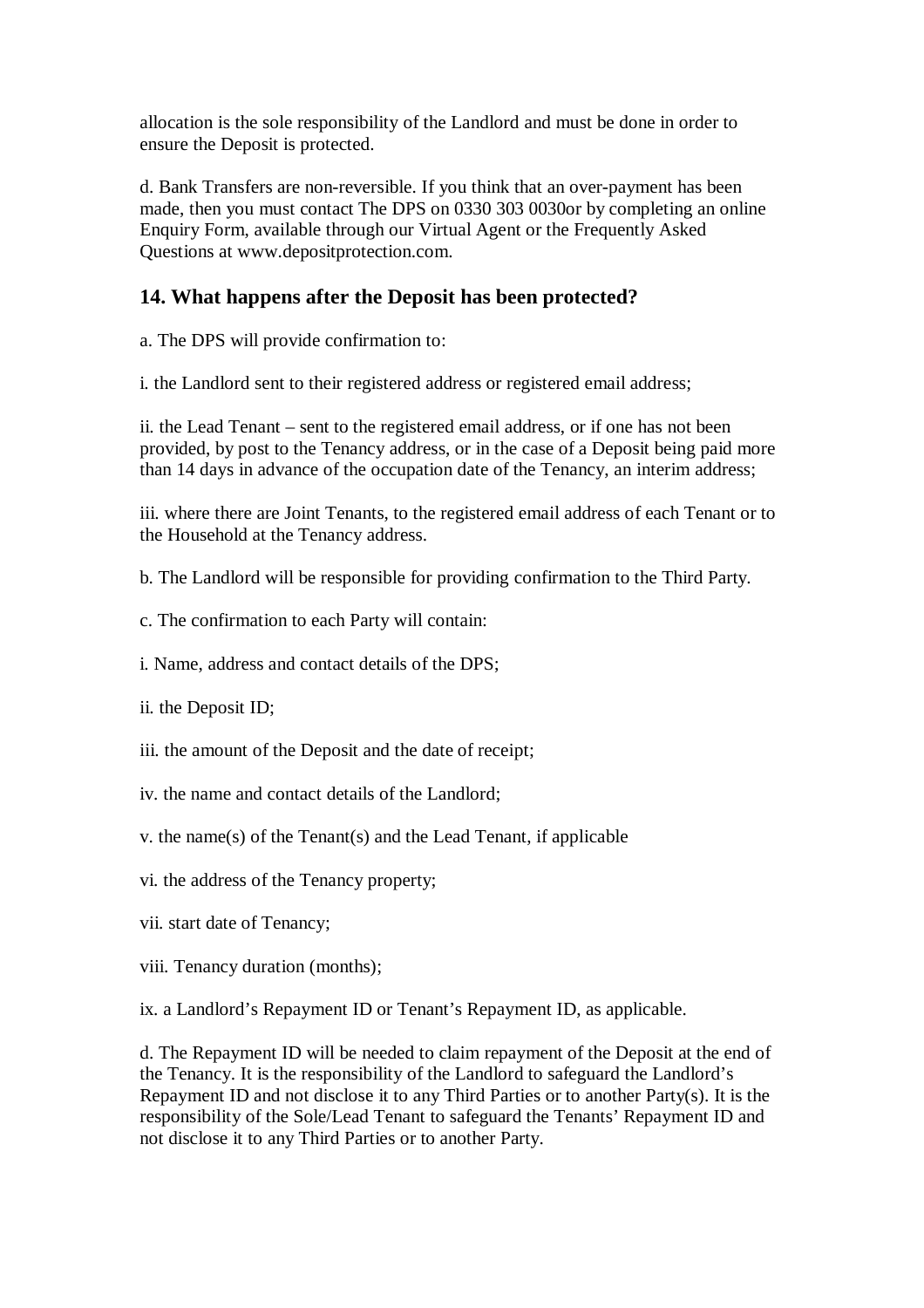allocation is the sole responsibility of the Landlord and must be done in order to ensure the Deposit is protected.

d. Bank Transfers are non-reversible. If you think that an over-payment has been made, then you must contact The DPS on 0330 303 0030or by completing an online Enquiry Form, available through our Virtual Agent or the Frequently Asked Questions at www.depositprotection.com.

#### **14. What happens after the Deposit has been protected?**

a. The DPS will provide confirmation to:

i. the Landlord sent to their registered address or registered email address;

ii. the Lead Tenant – sent to the registered email address, or if one has not been provided, by post to the Tenancy address, or in the case of a Deposit being paid more than 14 days in advance of the occupation date of the Tenancy, an interim address;

iii. where there are Joint Tenants, to the registered email address of each Tenant or to the Household at the Tenancy address.

b. The Landlord will be responsible for providing confirmation to the Third Party.

- c. The confirmation to each Party will contain:
- i. Name, address and contact details of the DPS;
- ii. the Deposit ID;
- iii. the amount of the Deposit and the date of receipt;
- iv. the name and contact details of the Landlord;
- v. the name(s) of the Tenant(s) and the Lead Tenant, if applicable
- vi. the address of the Tenancy property;
- vii. start date of Tenancy;
- viii. Tenancy duration (months);

ix. a Landlord's Repayment ID or Tenant's Repayment ID, as applicable.

d. The Repayment ID will be needed to claim repayment of the Deposit at the end of the Tenancy. It is the responsibility of the Landlord to safeguard the Landlord's Repayment ID and not disclose it to any Third Parties or to another Party(s). It is the responsibility of the Sole/Lead Tenant to safeguard the Tenants' Repayment ID and not disclose it to any Third Parties or to another Party.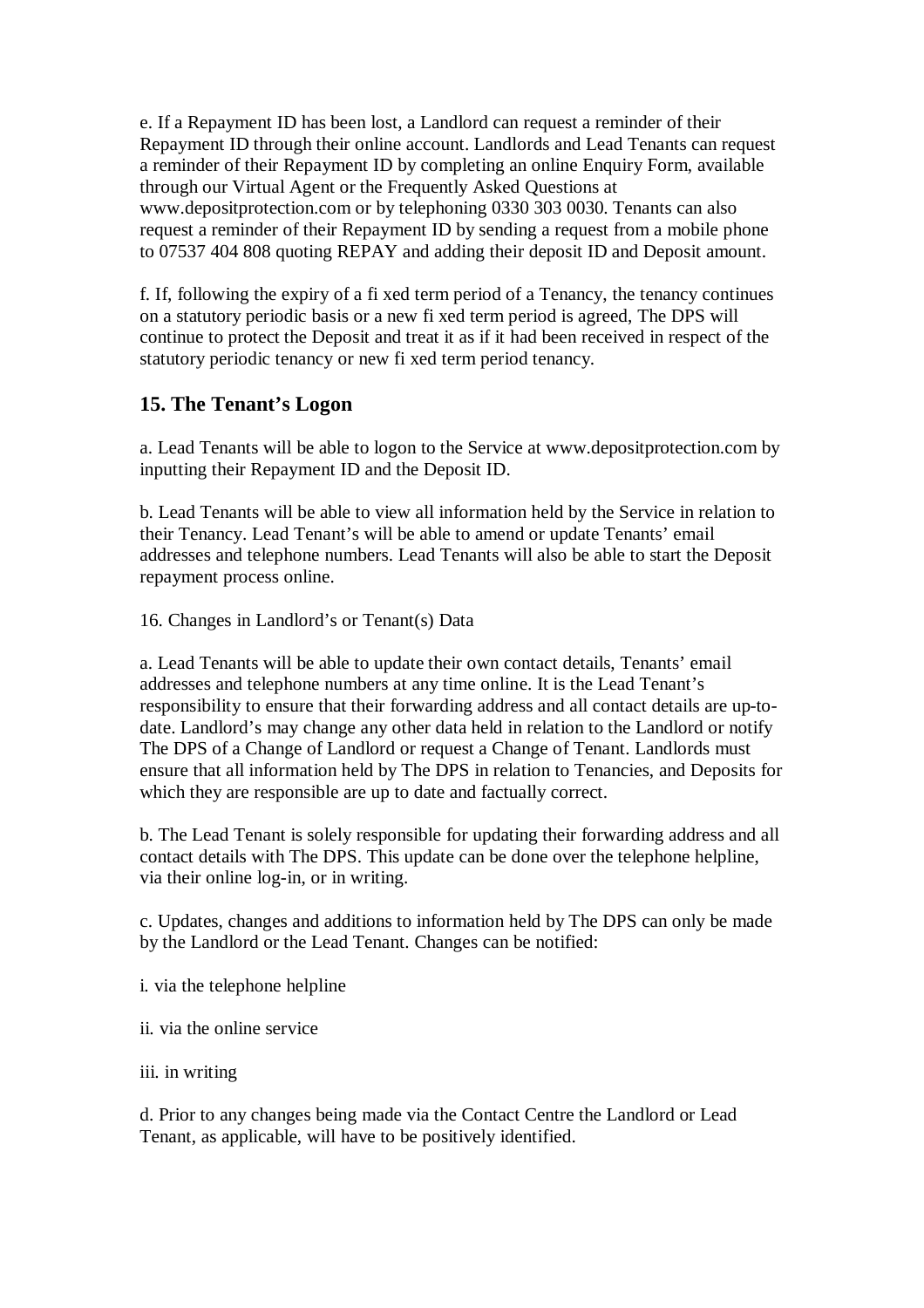e. If a Repayment ID has been lost, a Landlord can request a reminder of their Repayment ID through their online account. Landlords and Lead Tenants can request a reminder of their Repayment ID by completing an online Enquiry Form, available through our Virtual Agent or the Frequently Asked Questions at www.depositprotection.com or by telephoning 0330 303 0030. Tenants can also request a reminder of their Repayment ID by sending a request from a mobile phone to 07537 404 808 quoting REPAY and adding their deposit ID and Deposit amount.

f. If, following the expiry of a fi xed term period of a Tenancy, the tenancy continues on a statutory periodic basis or a new fi xed term period is agreed, The DPS will continue to protect the Deposit and treat it as if it had been received in respect of the statutory periodic tenancy or new fi xed term period tenancy.

#### **15. The Tenant's Logon**

a. Lead Tenants will be able to logon to the Service at www.depositprotection.com by inputting their Repayment ID and the Deposit ID.

b. Lead Tenants will be able to view all information held by the Service in relation to their Tenancy. Lead Tenant's will be able to amend or update Tenants' email addresses and telephone numbers. Lead Tenants will also be able to start the Deposit repayment process online.

16. Changes in Landlord's or Tenant(s) Data

a. Lead Tenants will be able to update their own contact details, Tenants' email addresses and telephone numbers at any time online. It is the Lead Tenant's responsibility to ensure that their forwarding address and all contact details are up-todate. Landlord's may change any other data held in relation to the Landlord or notify The DPS of a Change of Landlord or request a Change of Tenant. Landlords must ensure that all information held by The DPS in relation to Tenancies, and Deposits for which they are responsible are up to date and factually correct.

b. The Lead Tenant is solely responsible for updating their forwarding address and all contact details with The DPS. This update can be done over the telephone helpline, via their online log-in, or in writing.

c. Updates, changes and additions to information held by The DPS can only be made by the Landlord or the Lead Tenant. Changes can be notified:

i. via the telephone helpline

ii. via the online service

iii. in writing

d. Prior to any changes being made via the Contact Centre the Landlord or Lead Tenant, as applicable, will have to be positively identified.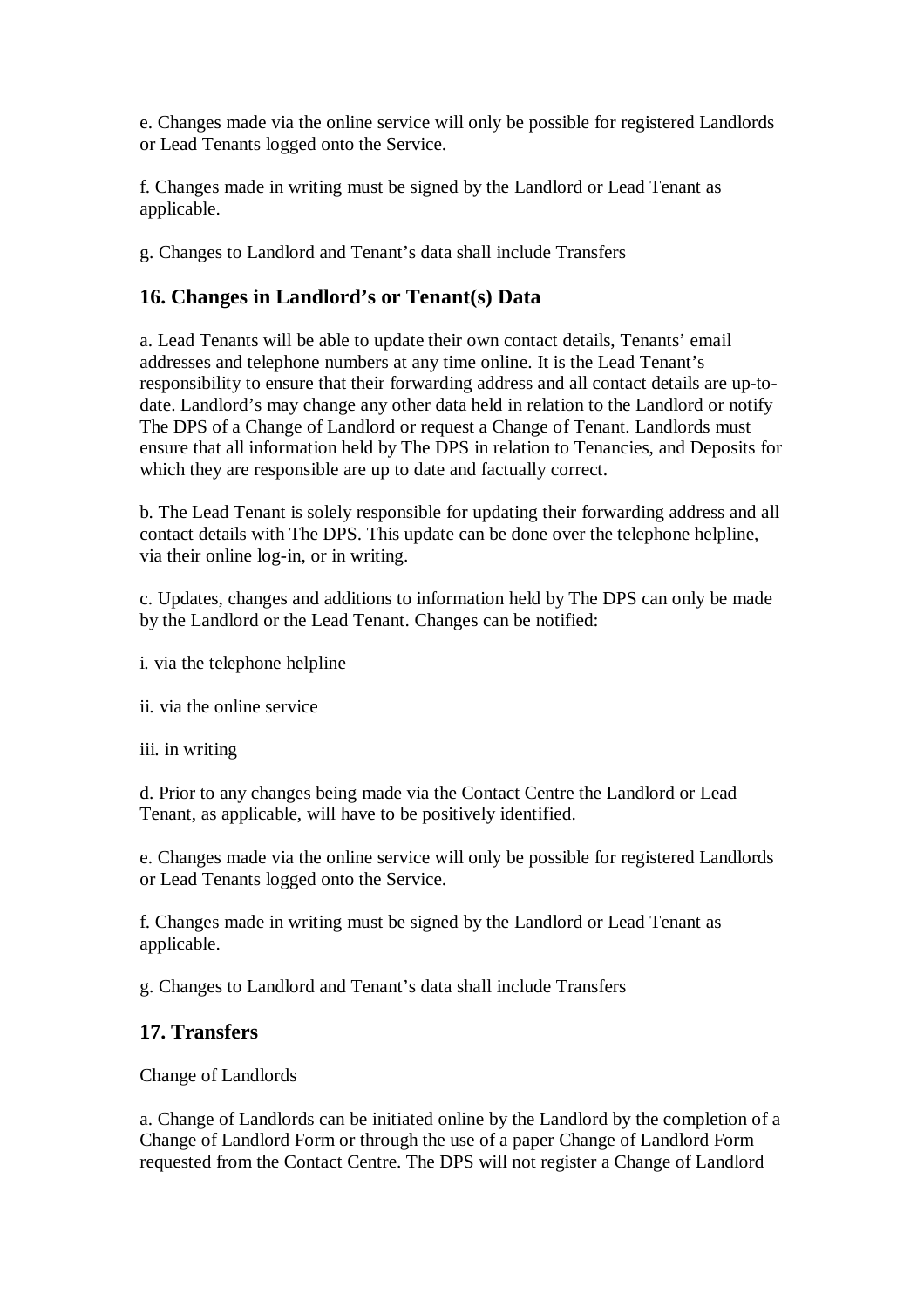e. Changes made via the online service will only be possible for registered Landlords or Lead Tenants logged onto the Service.

f. Changes made in writing must be signed by the Landlord or Lead Tenant as applicable.

g. Changes to Landlord and Tenant's data shall include Transfers

### **16. Changes in Landlord's or Tenant(s) Data**

a. Lead Tenants will be able to update their own contact details, Tenants' email addresses and telephone numbers at any time online. It is the Lead Tenant's responsibility to ensure that their forwarding address and all contact details are up-todate. Landlord's may change any other data held in relation to the Landlord or notify The DPS of a Change of Landlord or request a Change of Tenant. Landlords must ensure that all information held by The DPS in relation to Tenancies, and Deposits for which they are responsible are up to date and factually correct.

b. The Lead Tenant is solely responsible for updating their forwarding address and all contact details with The DPS. This update can be done over the telephone helpline, via their online log-in, or in writing.

c. Updates, changes and additions to information held by The DPS can only be made by the Landlord or the Lead Tenant. Changes can be notified:

- i. via the telephone helpline
- ii. via the online service

iii. in writing

d. Prior to any changes being made via the Contact Centre the Landlord or Lead Tenant, as applicable, will have to be positively identified.

e. Changes made via the online service will only be possible for registered Landlords or Lead Tenants logged onto the Service.

f. Changes made in writing must be signed by the Landlord or Lead Tenant as applicable.

g. Changes to Landlord and Tenant's data shall include Transfers

#### **17. Transfers**

Change of Landlords

a. Change of Landlords can be initiated online by the Landlord by the completion of a Change of Landlord Form or through the use of a paper Change of Landlord Form requested from the Contact Centre. The DPS will not register a Change of Landlord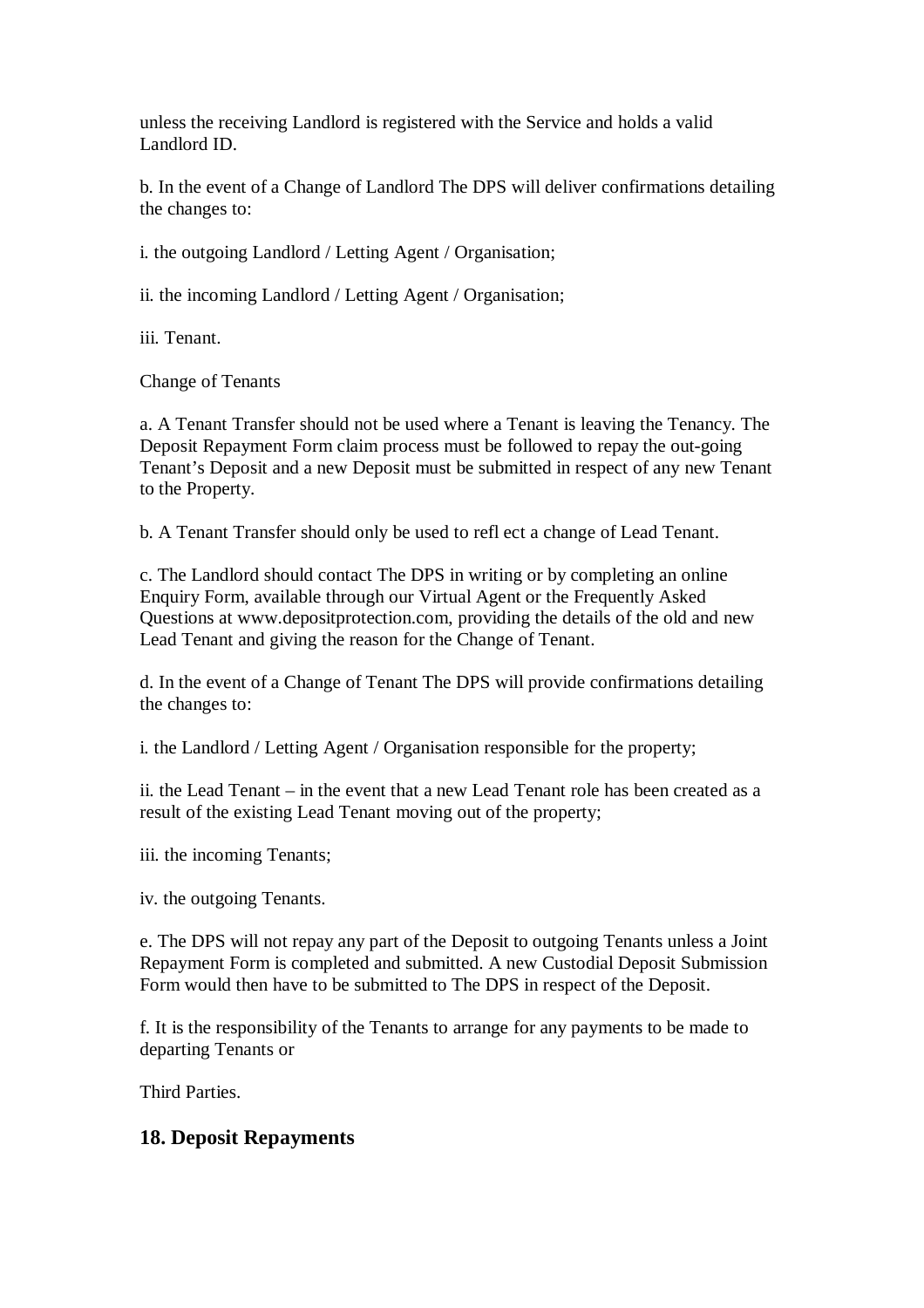unless the receiving Landlord is registered with the Service and holds a valid Landlord ID.

b. In the event of a Change of Landlord The DPS will deliver confirmations detailing the changes to:

i. the outgoing Landlord / Letting Agent / Organisation;

ii. the incoming Landlord / Letting Agent / Organisation;

iii. Tenant.

Change of Tenants

a. A Tenant Transfer should not be used where a Tenant is leaving the Tenancy. The Deposit Repayment Form claim process must be followed to repay the out-going Tenant's Deposit and a new Deposit must be submitted in respect of any new Tenant to the Property.

b. A Tenant Transfer should only be used to refl ect a change of Lead Tenant.

c. The Landlord should contact The DPS in writing or by completing an online Enquiry Form, available through our Virtual Agent or the Frequently Asked Questions at www.depositprotection.com, providing the details of the old and new Lead Tenant and giving the reason for the Change of Tenant.

d. In the event of a Change of Tenant The DPS will provide confirmations detailing the changes to:

i. the Landlord / Letting Agent / Organisation responsible for the property;

ii. the Lead Tenant – in the event that a new Lead Tenant role has been created as a result of the existing Lead Tenant moving out of the property;

iii. the incoming Tenants;

iv. the outgoing Tenants.

e. The DPS will not repay any part of the Deposit to outgoing Tenants unless a Joint Repayment Form is completed and submitted. A new Custodial Deposit Submission Form would then have to be submitted to The DPS in respect of the Deposit.

f. It is the responsibility of the Tenants to arrange for any payments to be made to departing Tenants or

Third Parties.

#### **18. Deposit Repayments**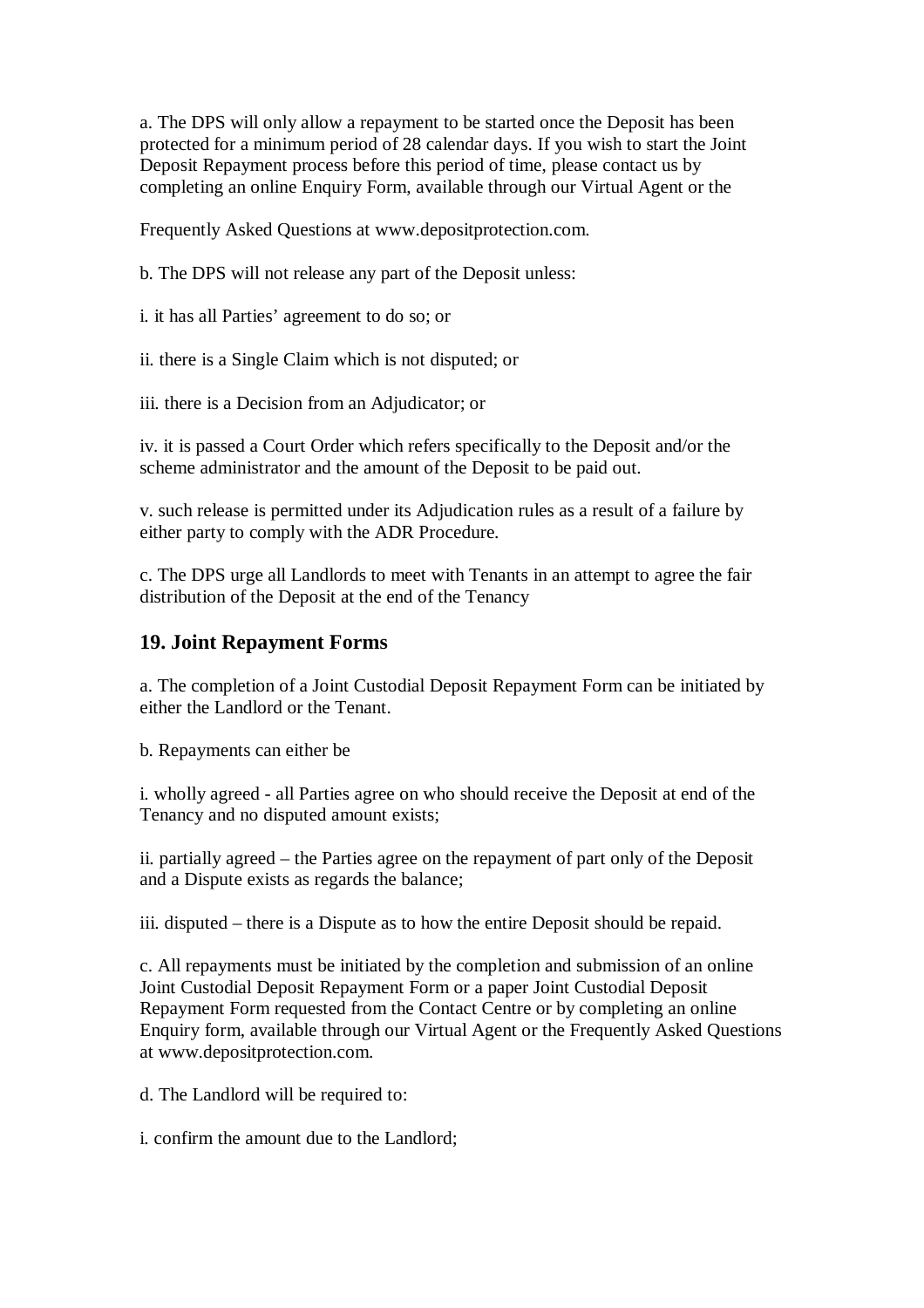a. The DPS will only allow a repayment to be started once the Deposit has been protected for a minimum period of 28 calendar days. If you wish to start the Joint Deposit Repayment process before this period of time, please contact us by completing an online Enquiry Form, available through our Virtual Agent or the

Frequently Asked Questions at www.depositprotection.com.

b. The DPS will not release any part of the Deposit unless:

i. it has all Parties' agreement to do so; or

ii. there is a Single Claim which is not disputed; or

iii. there is a Decision from an Adjudicator; or

iv. it is passed a Court Order which refers specifically to the Deposit and/or the scheme administrator and the amount of the Deposit to be paid out.

v. such release is permitted under its Adjudication rules as a result of a failure by either party to comply with the ADR Procedure.

c. The DPS urge all Landlords to meet with Tenants in an attempt to agree the fair distribution of the Deposit at the end of the Tenancy

#### **19. Joint Repayment Forms**

a. The completion of a Joint Custodial Deposit Repayment Form can be initiated by either the Landlord or the Tenant.

b. Repayments can either be

i. wholly agreed - all Parties agree on who should receive the Deposit at end of the Tenancy and no disputed amount exists;

ii. partially agreed – the Parties agree on the repayment of part only of the Deposit and a Dispute exists as regards the balance;

iii. disputed – there is a Dispute as to how the entire Deposit should be repaid.

c. All repayments must be initiated by the completion and submission of an online Joint Custodial Deposit Repayment Form or a paper Joint Custodial Deposit Repayment Form requested from the Contact Centre or by completing an online Enquiry form, available through our Virtual Agent or the Frequently Asked Questions at www.depositprotection.com.

d. The Landlord will be required to:

i. confirm the amount due to the Landlord;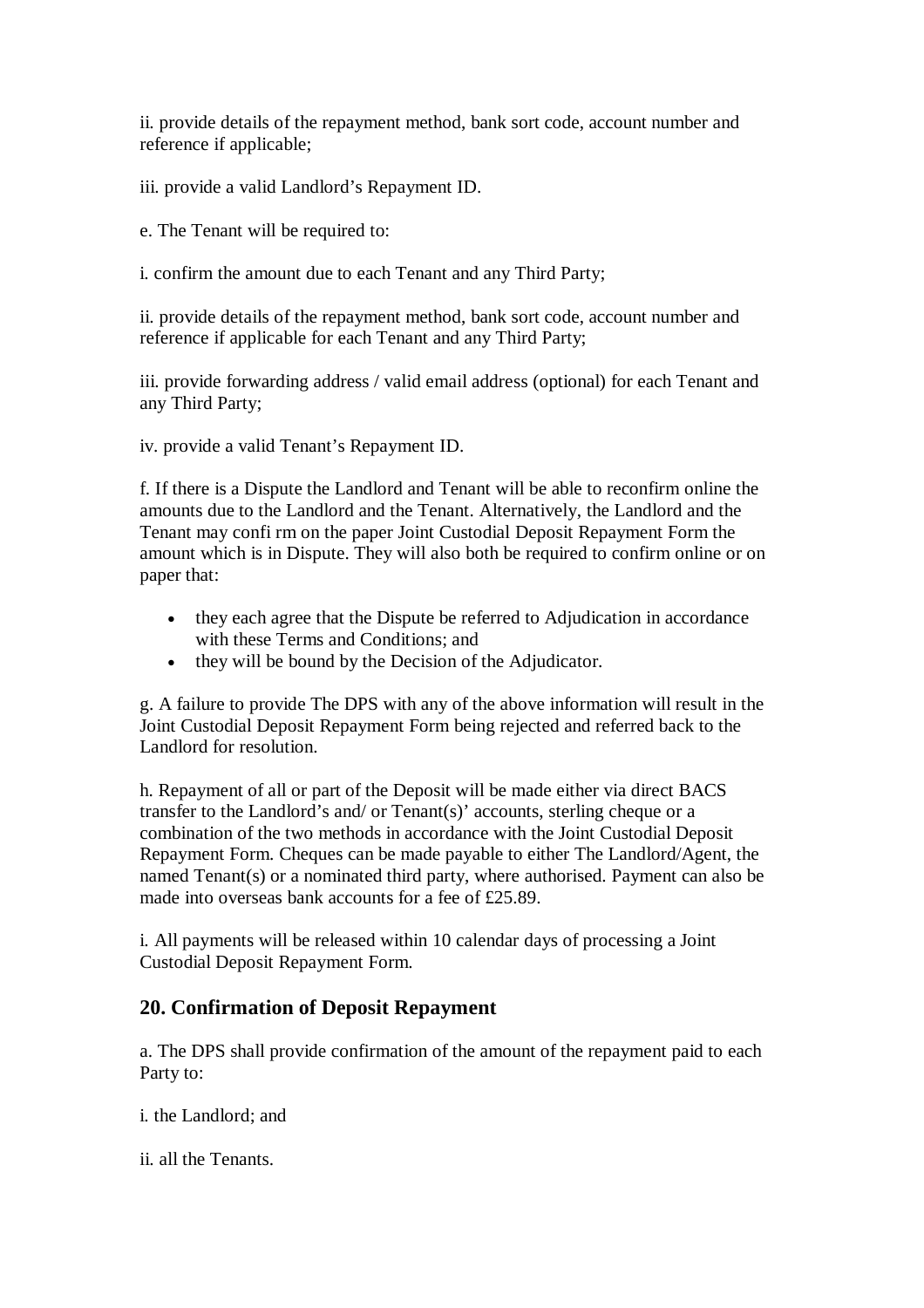ii. provide details of the repayment method, bank sort code, account number and reference if applicable;

iii. provide a valid Landlord's Repayment ID.

e. The Tenant will be required to:

i. confirm the amount due to each Tenant and any Third Party;

ii. provide details of the repayment method, bank sort code, account number and reference if applicable for each Tenant and any Third Party;

iii. provide forwarding address / valid email address (optional) for each Tenant and any Third Party;

iv. provide a valid Tenant's Repayment ID.

f. If there is a Dispute the Landlord and Tenant will be able to reconfirm online the amounts due to the Landlord and the Tenant. Alternatively, the Landlord and the Tenant may confi rm on the paper Joint Custodial Deposit Repayment Form the amount which is in Dispute. They will also both be required to confirm online or on paper that:

- they each agree that the Dispute be referred to Adjudication in accordance with these Terms and Conditions; and
- they will be bound by the Decision of the Adjudicator.

g. A failure to provide The DPS with any of the above information will result in the Joint Custodial Deposit Repayment Form being rejected and referred back to the Landlord for resolution.

h. Repayment of all or part of the Deposit will be made either via direct BACS transfer to the Landlord's and/ or Tenant(s)' accounts, sterling cheque or a combination of the two methods in accordance with the Joint Custodial Deposit Repayment Form. Cheques can be made payable to either The Landlord/Agent, the named Tenant(s) or a nominated third party, where authorised. Payment can also be made into overseas bank accounts for a fee of £25.89.

i. All payments will be released within 10 calendar days of processing a Joint Custodial Deposit Repayment Form.

#### **20. Confirmation of Deposit Repayment**

a. The DPS shall provide confirmation of the amount of the repayment paid to each Party to:

i. the Landlord; and

ii. all the Tenants.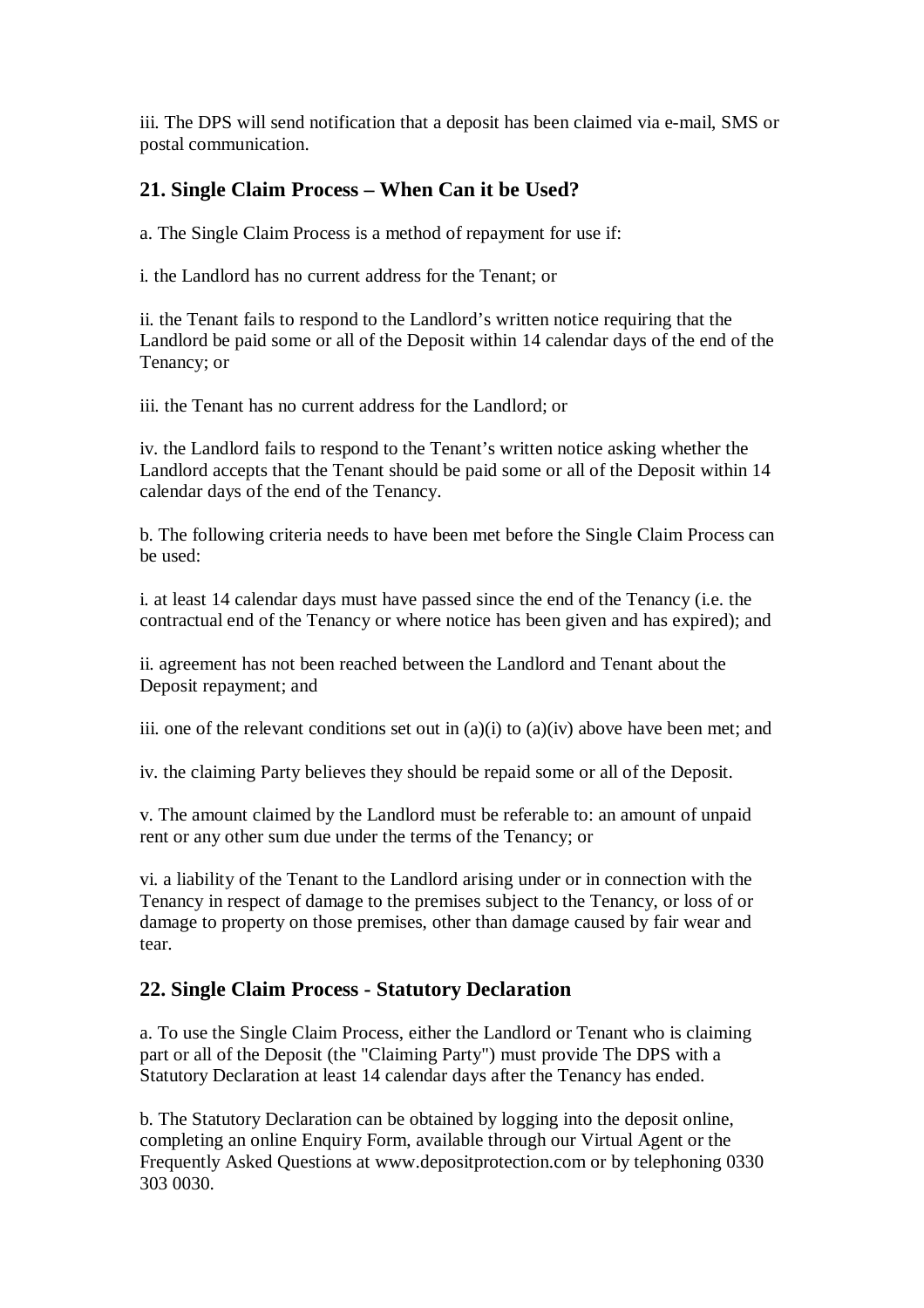iii. The DPS will send notification that a deposit has been claimed via e-mail, SMS or postal communication.

#### **21. Single Claim Process – When Can it be Used?**

a. The Single Claim Process is a method of repayment for use if:

i. the Landlord has no current address for the Tenant; or

ii. the Tenant fails to respond to the Landlord's written notice requiring that the Landlord be paid some or all of the Deposit within 14 calendar days of the end of the Tenancy; or

iii. the Tenant has no current address for the Landlord; or

iv. the Landlord fails to respond to the Tenant's written notice asking whether the Landlord accepts that the Tenant should be paid some or all of the Deposit within 14 calendar days of the end of the Tenancy.

b. The following criteria needs to have been met before the Single Claim Process can be used:

i. at least 14 calendar days must have passed since the end of the Tenancy (i.e. the contractual end of the Tenancy or where notice has been given and has expired); and

ii. agreement has not been reached between the Landlord and Tenant about the Deposit repayment; and

iii. one of the relevant conditions set out in  $(a)(i)$  to  $(a)(iv)$  above have been met; and

iv. the claiming Party believes they should be repaid some or all of the Deposit.

v. The amount claimed by the Landlord must be referable to: an amount of unpaid rent or any other sum due under the terms of the Tenancy; or

vi. a liability of the Tenant to the Landlord arising under or in connection with the Tenancy in respect of damage to the premises subject to the Tenancy, or loss of or damage to property on those premises, other than damage caused by fair wear and tear.

#### **22. Single Claim Process - Statutory Declaration**

a. To use the Single Claim Process, either the Landlord or Tenant who is claiming part or all of the Deposit (the "Claiming Party") must provide The DPS with a Statutory Declaration at least 14 calendar days after the Tenancy has ended.

b. The Statutory Declaration can be obtained by logging into the deposit online, completing an online Enquiry Form, available through our Virtual Agent or the Frequently Asked Questions at www.depositprotection.com or by telephoning 0330 303 0030.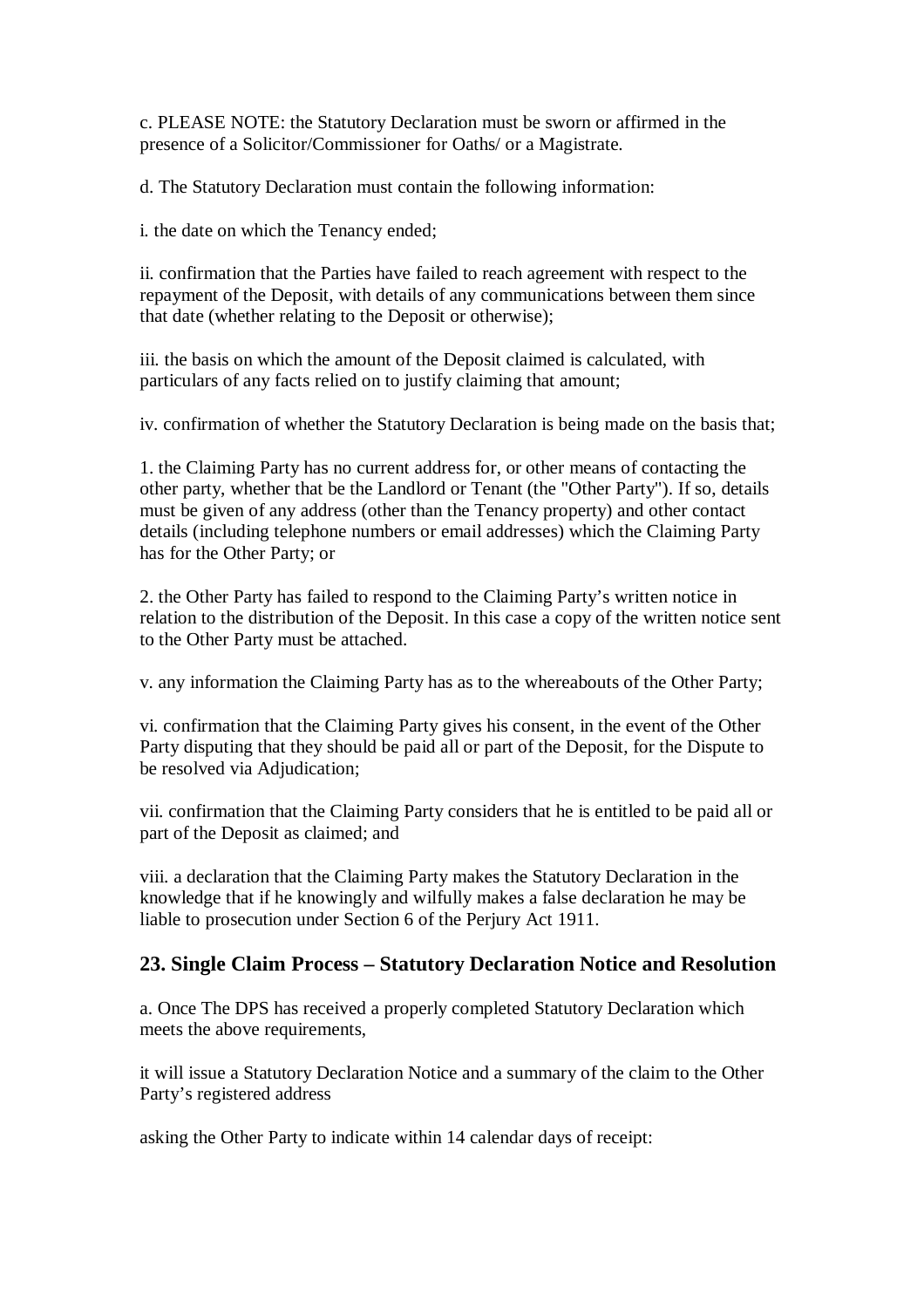c. PLEASE NOTE: the Statutory Declaration must be sworn or affirmed in the presence of a Solicitor/Commissioner for Oaths/ or a Magistrate.

d. The Statutory Declaration must contain the following information:

i. the date on which the Tenancy ended;

ii. confirmation that the Parties have failed to reach agreement with respect to the repayment of the Deposit, with details of any communications between them since that date (whether relating to the Deposit or otherwise);

iii. the basis on which the amount of the Deposit claimed is calculated, with particulars of any facts relied on to justify claiming that amount;

iv. confirmation of whether the Statutory Declaration is being made on the basis that;

1. the Claiming Party has no current address for, or other means of contacting the other party, whether that be the Landlord or Tenant (the "Other Party"). If so, details must be given of any address (other than the Tenancy property) and other contact details (including telephone numbers or email addresses) which the Claiming Party has for the Other Party; or

2. the Other Party has failed to respond to the Claiming Party's written notice in relation to the distribution of the Deposit. In this case a copy of the written notice sent to the Other Party must be attached.

v. any information the Claiming Party has as to the whereabouts of the Other Party;

vi. confirmation that the Claiming Party gives his consent, in the event of the Other Party disputing that they should be paid all or part of the Deposit, for the Dispute to be resolved via Adjudication;

vii. confirmation that the Claiming Party considers that he is entitled to be paid all or part of the Deposit as claimed; and

viii. a declaration that the Claiming Party makes the Statutory Declaration in the knowledge that if he knowingly and wilfully makes a false declaration he may be liable to prosecution under Section 6 of the Perjury Act 1911.

#### **23. Single Claim Process – Statutory Declaration Notice and Resolution**

a. Once The DPS has received a properly completed Statutory Declaration which meets the above requirements.

it will issue a Statutory Declaration Notice and a summary of the claim to the Other Party's registered address

asking the Other Party to indicate within 14 calendar days of receipt: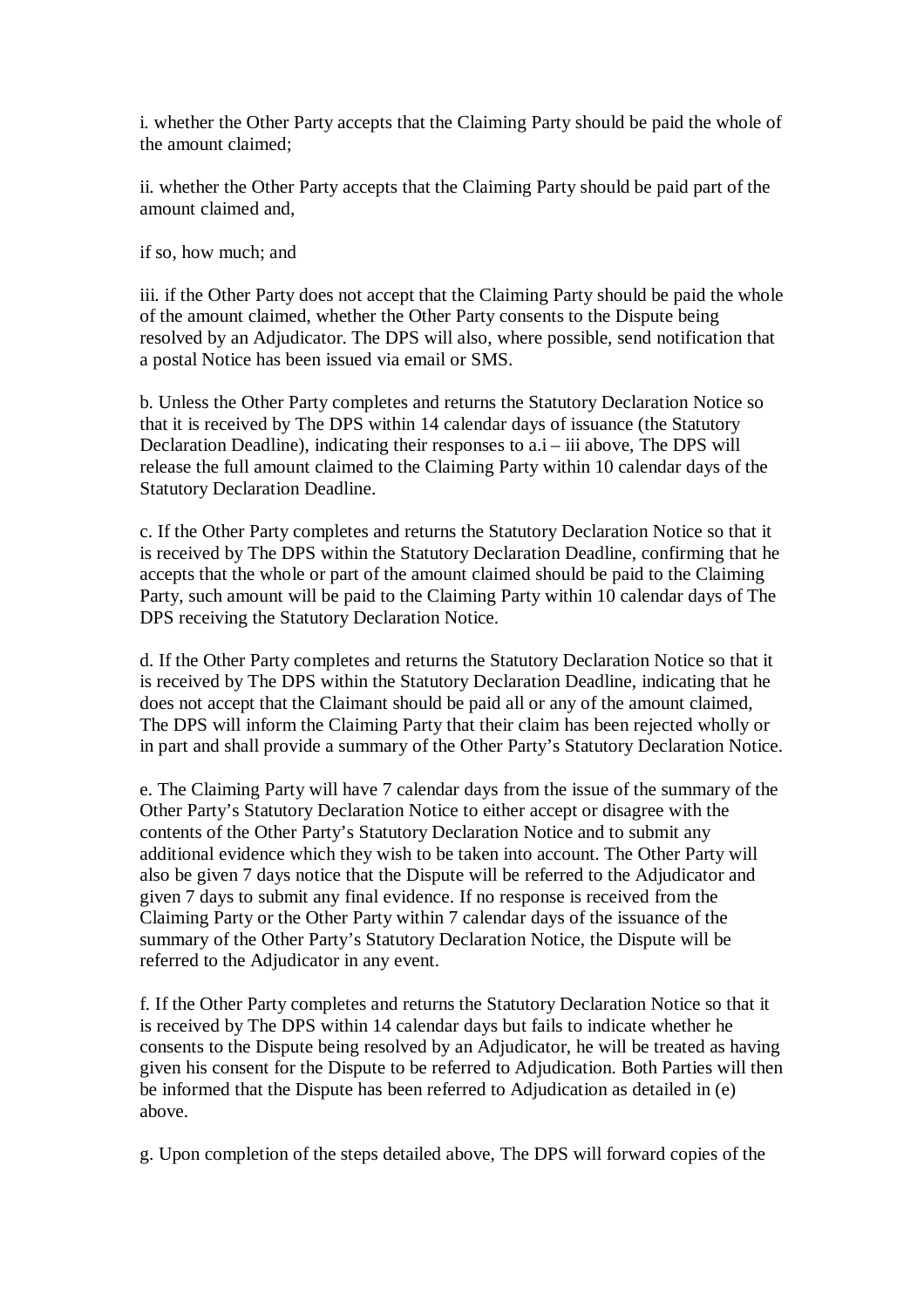i. whether the Other Party accepts that the Claiming Party should be paid the whole of the amount claimed;

ii. whether the Other Party accepts that the Claiming Party should be paid part of the amount claimed and,

if so, how much; and

iii. if the Other Party does not accept that the Claiming Party should be paid the whole of the amount claimed, whether the Other Party consents to the Dispute being resolved by an Adjudicator. The DPS will also, where possible, send notification that a postal Notice has been issued via email or SMS.

b. Unless the Other Party completes and returns the Statutory Declaration Notice so that it is received by The DPS within 14 calendar days of issuance (the Statutory Declaration Deadline), indicating their responses to a.i – iii above, The DPS will release the full amount claimed to the Claiming Party within 10 calendar days of the Statutory Declaration Deadline.

c. If the Other Party completes and returns the Statutory Declaration Notice so that it is received by The DPS within the Statutory Declaration Deadline, confirming that he accepts that the whole or part of the amount claimed should be paid to the Claiming Party, such amount will be paid to the Claiming Party within 10 calendar days of The DPS receiving the Statutory Declaration Notice.

d. If the Other Party completes and returns the Statutory Declaration Notice so that it is received by The DPS within the Statutory Declaration Deadline, indicating that he does not accept that the Claimant should be paid all or any of the amount claimed, The DPS will inform the Claiming Party that their claim has been rejected wholly or in part and shall provide a summary of the Other Party's Statutory Declaration Notice.

e. The Claiming Party will have 7 calendar days from the issue of the summary of the Other Party's Statutory Declaration Notice to either accept or disagree with the contents of the Other Party's Statutory Declaration Notice and to submit any additional evidence which they wish to be taken into account. The Other Party will also be given 7 days notice that the Dispute will be referred to the Adjudicator and given 7 days to submit any final evidence. If no response is received from the Claiming Party or the Other Party within 7 calendar days of the issuance of the summary of the Other Party's Statutory Declaration Notice, the Dispute will be referred to the Adjudicator in any event.

f. If the Other Party completes and returns the Statutory Declaration Notice so that it is received by The DPS within 14 calendar days but fails to indicate whether he consents to the Dispute being resolved by an Adjudicator, he will be treated as having given his consent for the Dispute to be referred to Adjudication. Both Parties will then be informed that the Dispute has been referred to Adjudication as detailed in (e) above.

g. Upon completion of the steps detailed above, The DPS will forward copies of the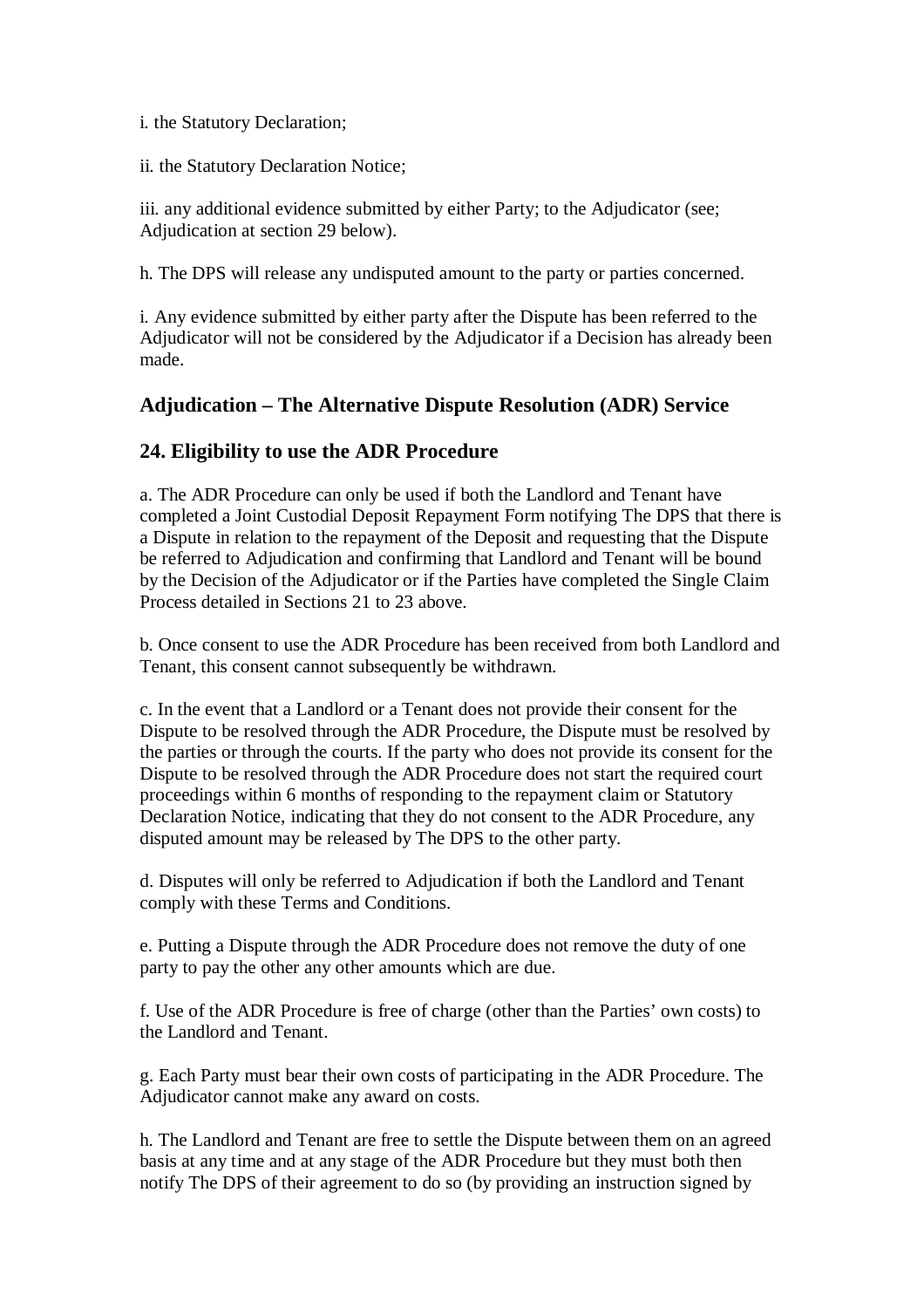i. the Statutory Declaration;

ii. the Statutory Declaration Notice;

iii. any additional evidence submitted by either Party; to the Adjudicator (see; Adjudication at section 29 below).

h. The DPS will release any undisputed amount to the party or parties concerned.

i. Any evidence submitted by either party after the Dispute has been referred to the Adjudicator will not be considered by the Adjudicator if a Decision has already been made.

#### **Adjudication – The Alternative Dispute Resolution (ADR) Service**

#### **24. Eligibility to use the ADR Procedure**

a. The ADR Procedure can only be used if both the Landlord and Tenant have completed a Joint Custodial Deposit Repayment Form notifying The DPS that there is a Dispute in relation to the repayment of the Deposit and requesting that the Dispute be referred to Adjudication and confirming that Landlord and Tenant will be bound by the Decision of the Adjudicator or if the Parties have completed the Single Claim Process detailed in Sections 21 to 23 above.

b. Once consent to use the ADR Procedure has been received from both Landlord and Tenant, this consent cannot subsequently be withdrawn.

c. In the event that a Landlord or a Tenant does not provide their consent for the Dispute to be resolved through the ADR Procedure, the Dispute must be resolved by the parties or through the courts. If the party who does not provide its consent for the Dispute to be resolved through the ADR Procedure does not start the required court proceedings within 6 months of responding to the repayment claim or Statutory Declaration Notice, indicating that they do not consent to the ADR Procedure, any disputed amount may be released by The DPS to the other party.

d. Disputes will only be referred to Adjudication if both the Landlord and Tenant comply with these Terms and Conditions.

e. Putting a Dispute through the ADR Procedure does not remove the duty of one party to pay the other any other amounts which are due.

f. Use of the ADR Procedure is free of charge (other than the Parties' own costs) to the Landlord and Tenant.

g. Each Party must bear their own costs of participating in the ADR Procedure. The Adjudicator cannot make any award on costs.

h. The Landlord and Tenant are free to settle the Dispute between them on an agreed basis at any time and at any stage of the ADR Procedure but they must both then notify The DPS of their agreement to do so (by providing an instruction signed by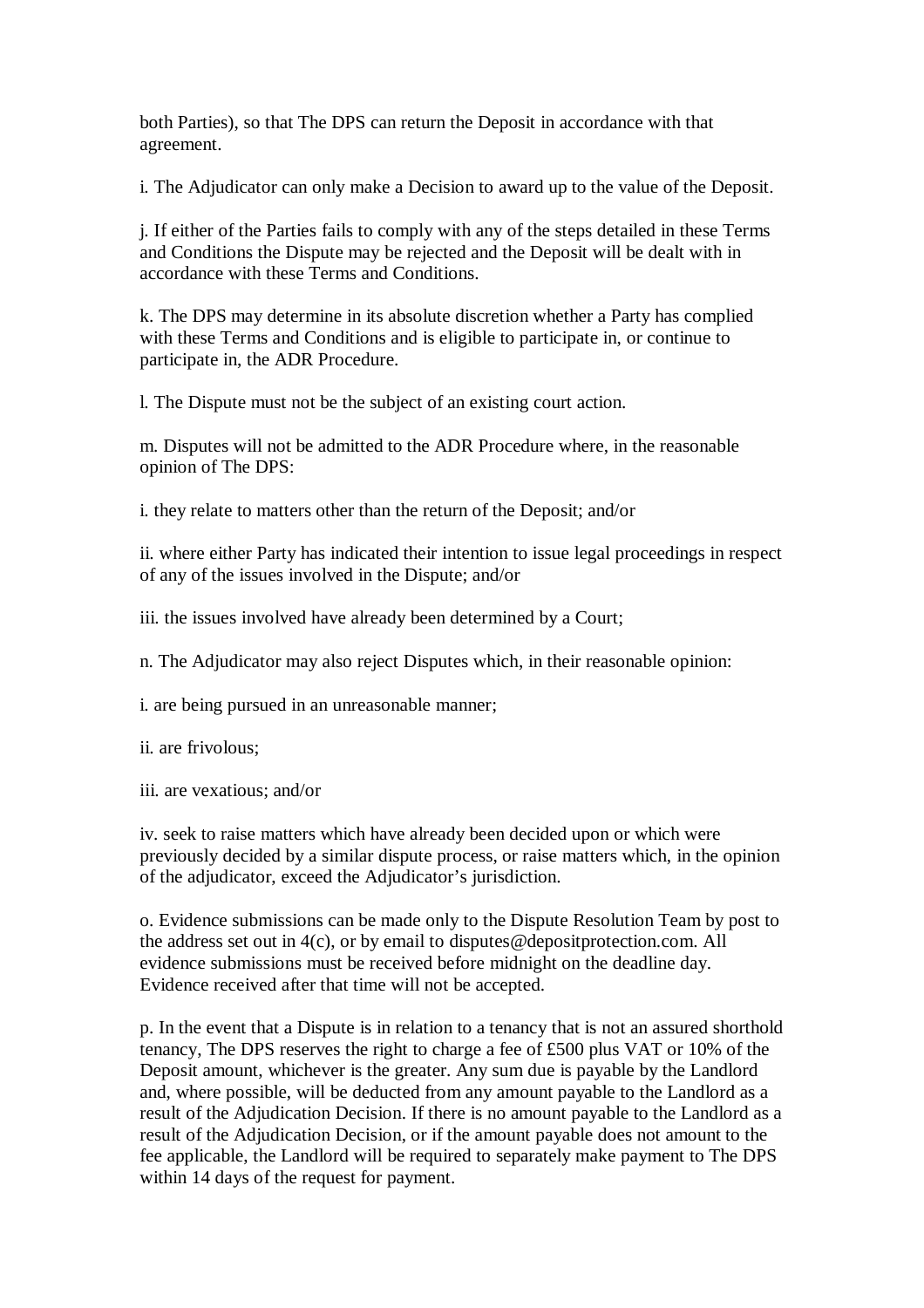both Parties), so that The DPS can return the Deposit in accordance with that agreement.

i. The Adjudicator can only make a Decision to award up to the value of the Deposit.

j. If either of the Parties fails to comply with any of the steps detailed in these Terms and Conditions the Dispute may be rejected and the Deposit will be dealt with in accordance with these Terms and Conditions.

k. The DPS may determine in its absolute discretion whether a Party has complied with these Terms and Conditions and is eligible to participate in, or continue to participate in, the ADR Procedure.

l. The Dispute must not be the subject of an existing court action.

m. Disputes will not be admitted to the ADR Procedure where, in the reasonable opinion of The DPS:

i. they relate to matters other than the return of the Deposit; and/or

ii. where either Party has indicated their intention to issue legal proceedings in respect of any of the issues involved in the Dispute; and/or

iii. the issues involved have already been determined by a Court;

n. The Adjudicator may also reject Disputes which, in their reasonable opinion:

i. are being pursued in an unreasonable manner;

ii. are frivolous;

iii. are vexatious; and/or

iv. seek to raise matters which have already been decided upon or which were previously decided by a similar dispute process, or raise matters which, in the opinion of the adjudicator, exceed the Adjudicator's jurisdiction.

o. Evidence submissions can be made only to the Dispute Resolution Team by post to the address set out in  $4(c)$ , or by email to disputes@depositprotection.com. All evidence submissions must be received before midnight on the deadline day. Evidence received after that time will not be accepted.

p. In the event that a Dispute is in relation to a tenancy that is not an assured shorthold tenancy, The DPS reserves the right to charge a fee of £500 plus VAT or 10% of the Deposit amount, whichever is the greater. Any sum due is payable by the Landlord and, where possible, will be deducted from any amount payable to the Landlord as a result of the Adjudication Decision. If there is no amount payable to the Landlord as a result of the Adjudication Decision, or if the amount payable does not amount to the fee applicable, the Landlord will be required to separately make payment to The DPS within 14 days of the request for payment.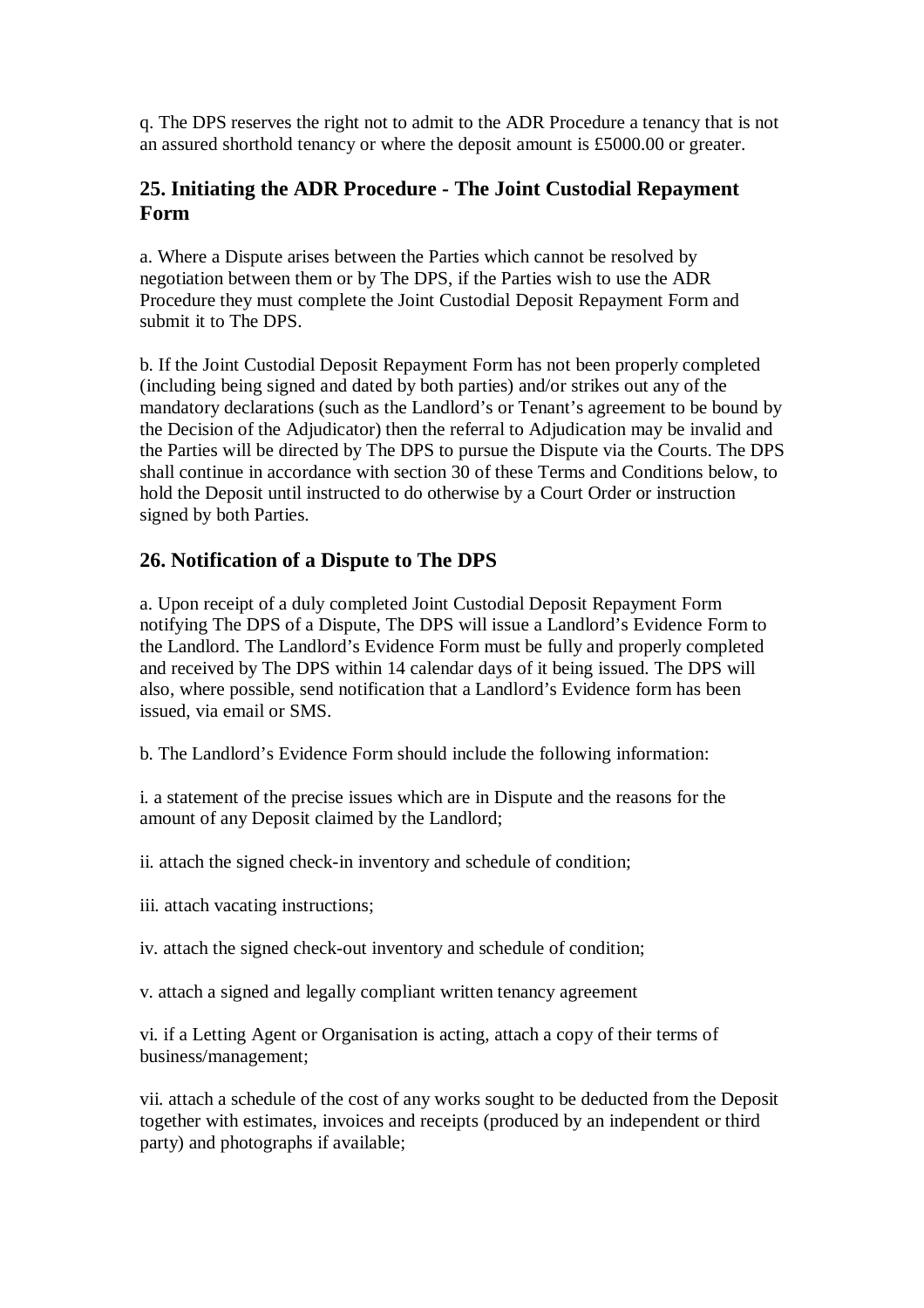q. The DPS reserves the right not to admit to the ADR Procedure a tenancy that is not an assured shorthold tenancy or where the deposit amount is £5000.00 or greater.

#### **25. Initiating the ADR Procedure - The Joint Custodial Repayment Form**

a. Where a Dispute arises between the Parties which cannot be resolved by negotiation between them or by The DPS, if the Parties wish to use the ADR Procedure they must complete the Joint Custodial Deposit Repayment Form and submit it to The DPS

b. If the Joint Custodial Deposit Repayment Form has not been properly completed (including being signed and dated by both parties) and/or strikes out any of the mandatory declarations (such as the Landlord's or Tenant's agreement to be bound by the Decision of the Adjudicator) then the referral to Adjudication may be invalid and the Parties will be directed by The DPS to pursue the Dispute via the Courts. The DPS shall continue in accordance with section 30 of these Terms and Conditions below, to hold the Deposit until instructed to do otherwise by a Court Order or instruction signed by both Parties.

#### **26. Notification of a Dispute to The DPS**

a. Upon receipt of a duly completed Joint Custodial Deposit Repayment Form notifying The DPS of a Dispute, The DPS will issue a Landlord's Evidence Form to the Landlord. The Landlord's Evidence Form must be fully and properly completed and received by The DPS within 14 calendar days of it being issued. The DPS will also, where possible, send notification that a Landlord's Evidence form has been issued, via email or SMS.

b. The Landlord's Evidence Form should include the following information:

i. a statement of the precise issues which are in Dispute and the reasons for the amount of any Deposit claimed by the Landlord;

ii. attach the signed check-in inventory and schedule of condition;

iii. attach vacating instructions;

iv. attach the signed check-out inventory and schedule of condition;

v. attach a signed and legally compliant written tenancy agreement

vi. if a Letting Agent or Organisation is acting, attach a copy of their terms of business/management;

vii. attach a schedule of the cost of any works sought to be deducted from the Deposit together with estimates, invoices and receipts (produced by an independent or third party) and photographs if available;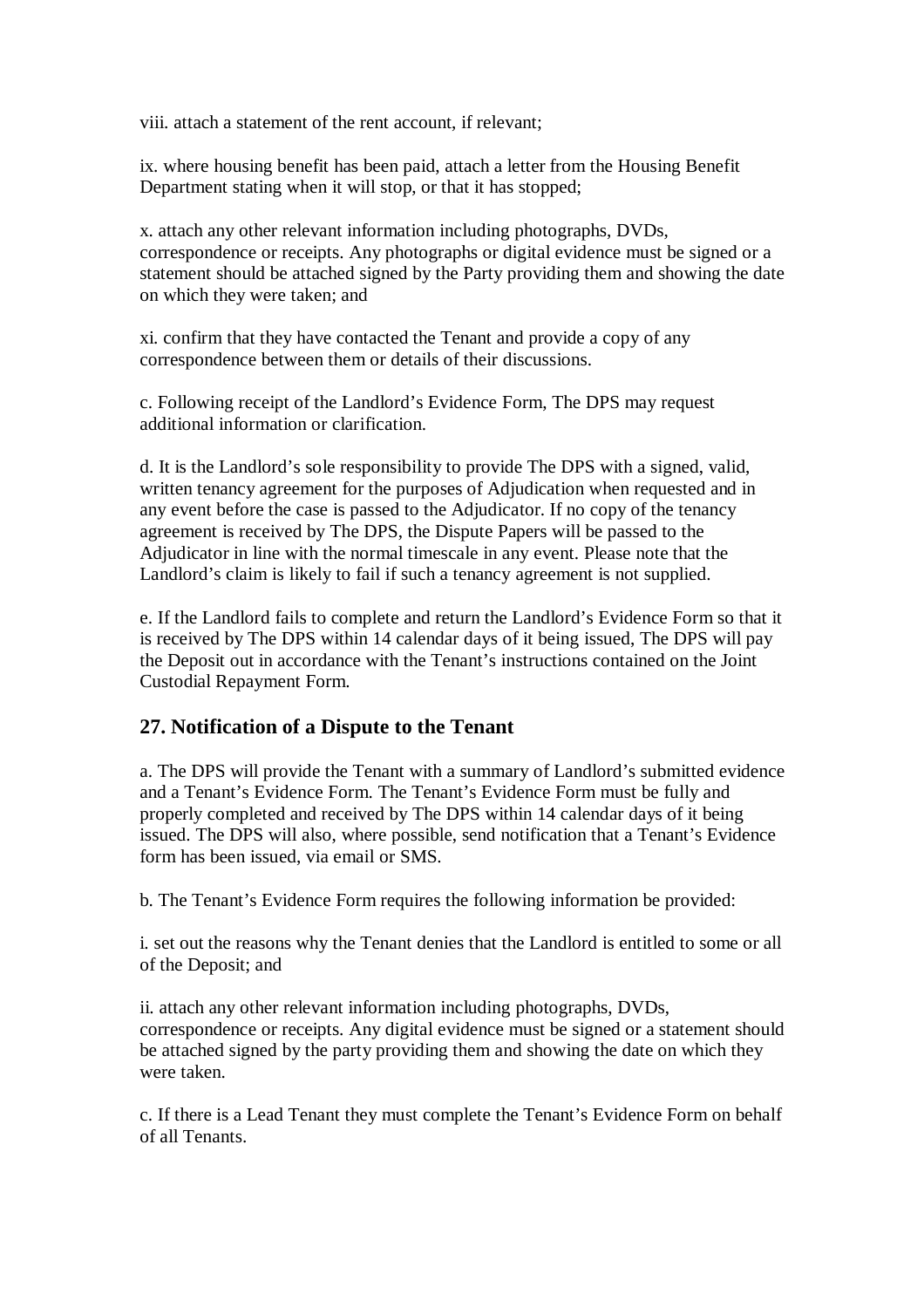viii. attach a statement of the rent account, if relevant;

ix. where housing benefit has been paid, attach a letter from the Housing Benefit Department stating when it will stop, or that it has stopped;

x. attach any other relevant information including photographs, DVDs, correspondence or receipts. Any photographs or digital evidence must be signed or a statement should be attached signed by the Party providing them and showing the date on which they were taken; and

xi. confirm that they have contacted the Tenant and provide a copy of any correspondence between them or details of their discussions.

c. Following receipt of the Landlord's Evidence Form, The DPS may request additional information or clarification.

d. It is the Landlord's sole responsibility to provide The DPS with a signed, valid, written tenancy agreement for the purposes of Adjudication when requested and in any event before the case is passed to the Adjudicator. If no copy of the tenancy agreement is received by The DPS, the Dispute Papers will be passed to the Adjudicator in line with the normal timescale in any event. Please note that the Landlord's claim is likely to fail if such a tenancy agreement is not supplied.

e. If the Landlord fails to complete and return the Landlord's Evidence Form so that it is received by The DPS within 14 calendar days of it being issued, The DPS will pay the Deposit out in accordance with the Tenant's instructions contained on the Joint Custodial Repayment Form.

#### **27. Notification of a Dispute to the Tenant**

a. The DPS will provide the Tenant with a summary of Landlord's submitted evidence and a Tenant's Evidence Form. The Tenant's Evidence Form must be fully and properly completed and received by The DPS within 14 calendar days of it being issued. The DPS will also, where possible, send notification that a Tenant's Evidence form has been issued, via email or SMS.

b. The Tenant's Evidence Form requires the following information be provided:

i. set out the reasons why the Tenant denies that the Landlord is entitled to some or all of the Deposit; and

ii. attach any other relevant information including photographs, DVDs, correspondence or receipts. Any digital evidence must be signed or a statement should be attached signed by the party providing them and showing the date on which they were taken.

c. If there is a Lead Tenant they must complete the Tenant's Evidence Form on behalf of all Tenants.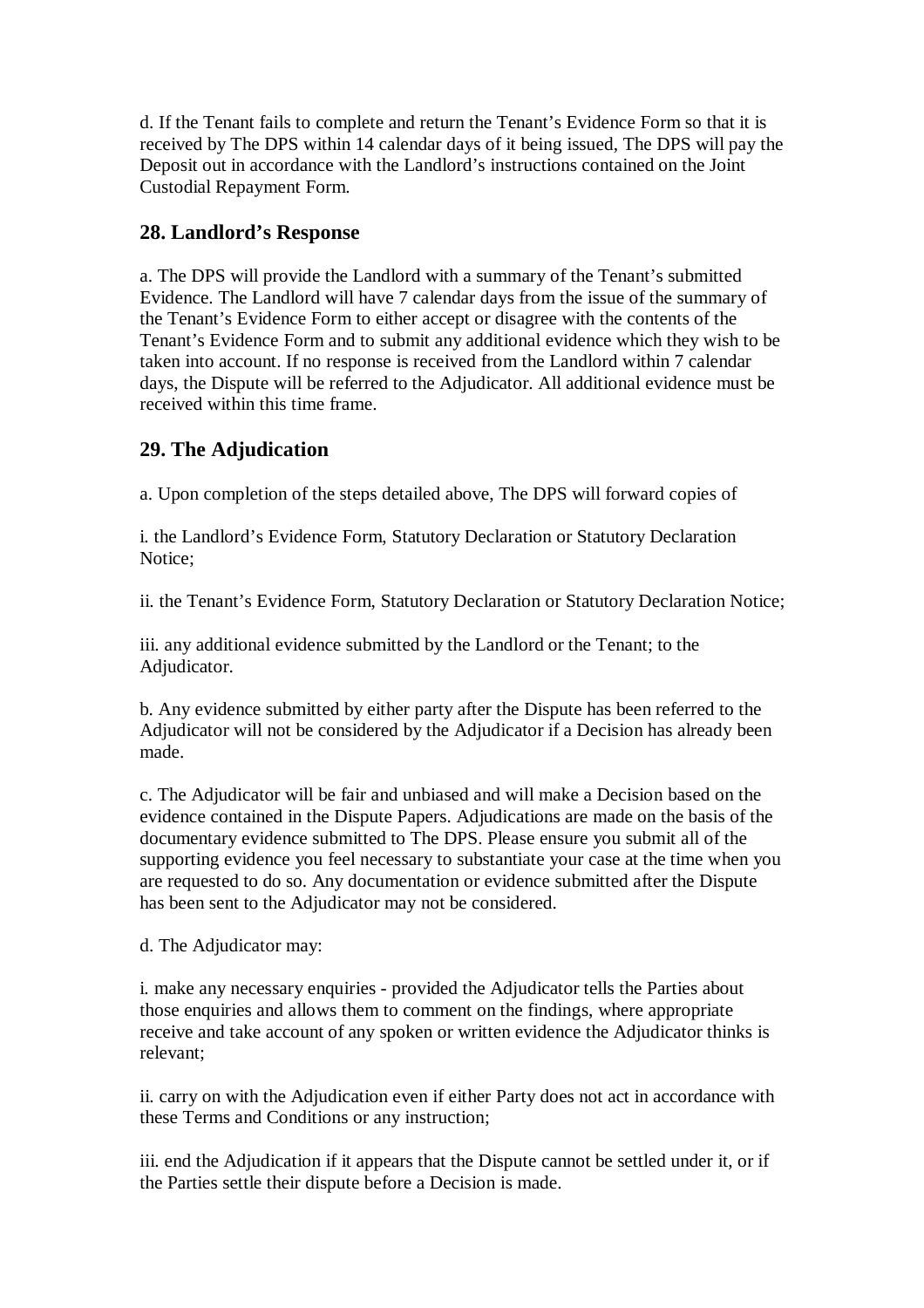d. If the Tenant fails to complete and return the Tenant's Evidence Form so that it is received by The DPS within 14 calendar days of it being issued, The DPS will pay the Deposit out in accordance with the Landlord's instructions contained on the Joint Custodial Repayment Form.

#### **28. Landlord's Response**

a. The DPS will provide the Landlord with a summary of the Tenant's submitted Evidence. The Landlord will have 7 calendar days from the issue of the summary of the Tenant's Evidence Form to either accept or disagree with the contents of the Tenant's Evidence Form and to submit any additional evidence which they wish to be taken into account. If no response is received from the Landlord within 7 calendar days, the Dispute will be referred to the Adjudicator. All additional evidence must be received within this time frame.

### **29. The Adjudication**

a. Upon completion of the steps detailed above, The DPS will forward copies of

i. the Landlord's Evidence Form, Statutory Declaration or Statutory Declaration Notice;

ii. the Tenant's Evidence Form, Statutory Declaration or Statutory Declaration Notice;

iii. any additional evidence submitted by the Landlord or the Tenant; to the Adjudicator.

b. Any evidence submitted by either party after the Dispute has been referred to the Adjudicator will not be considered by the Adjudicator if a Decision has already been made.

c. The Adjudicator will be fair and unbiased and will make a Decision based on the evidence contained in the Dispute Papers. Adjudications are made on the basis of the documentary evidence submitted to The DPS. Please ensure you submit all of the supporting evidence you feel necessary to substantiate your case at the time when you are requested to do so. Any documentation or evidence submitted after the Dispute has been sent to the Adjudicator may not be considered.

d. The Adjudicator may:

i. make any necessary enquiries - provided the Adjudicator tells the Parties about those enquiries and allows them to comment on the findings, where appropriate receive and take account of any spoken or written evidence the Adjudicator thinks is relevant;

ii. carry on with the Adjudication even if either Party does not act in accordance with these Terms and Conditions or any instruction;

iii. end the Adjudication if it appears that the Dispute cannot be settled under it, or if the Parties settle their dispute before a Decision is made.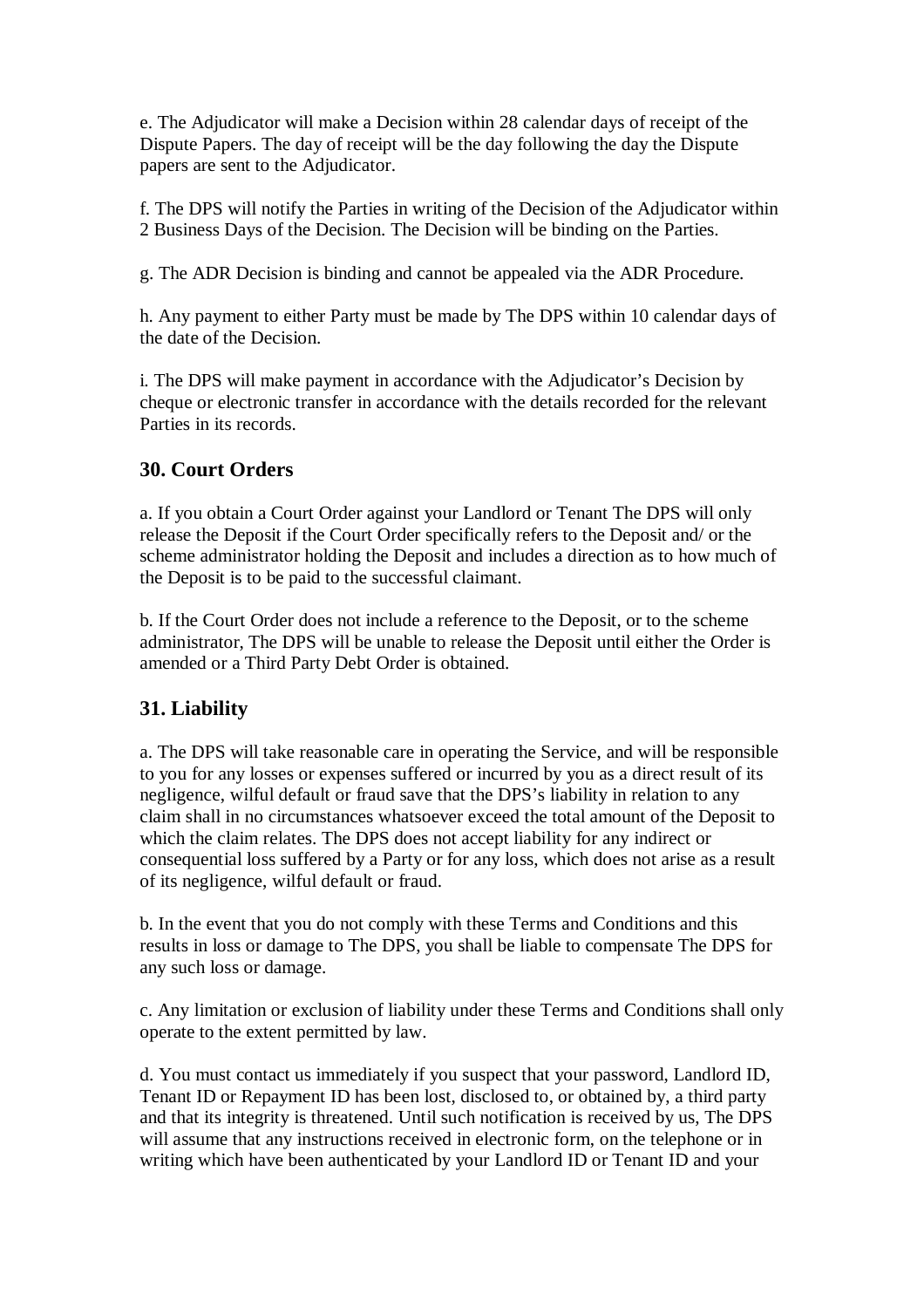e. The Adjudicator will make a Decision within 28 calendar days of receipt of the Dispute Papers. The day of receipt will be the day following the day the Dispute papers are sent to the Adjudicator.

f. The DPS will notify the Parties in writing of the Decision of the Adjudicator within 2 Business Days of the Decision. The Decision will be binding on the Parties.

g. The ADR Decision is binding and cannot be appealed via the ADR Procedure.

h. Any payment to either Party must be made by The DPS within 10 calendar days of the date of the Decision.

i. The DPS will make payment in accordance with the Adjudicator's Decision by cheque or electronic transfer in accordance with the details recorded for the relevant Parties in its records.

#### **30. Court Orders**

a. If you obtain a Court Order against your Landlord or Tenant The DPS will only release the Deposit if the Court Order specifically refers to the Deposit and/ or the scheme administrator holding the Deposit and includes a direction as to how much of the Deposit is to be paid to the successful claimant.

b. If the Court Order does not include a reference to the Deposit, or to the scheme administrator, The DPS will be unable to release the Deposit until either the Order is amended or a Third Party Debt Order is obtained.

#### **31. Liability**

a. The DPS will take reasonable care in operating the Service, and will be responsible to you for any losses or expenses suffered or incurred by you as a direct result of its negligence, wilful default or fraud save that the DPS's liability in relation to any claim shall in no circumstances whatsoever exceed the total amount of the Deposit to which the claim relates. The DPS does not accept liability for any indirect or consequential loss suffered by a Party or for any loss, which does not arise as a result of its negligence, wilful default or fraud.

b. In the event that you do not comply with these Terms and Conditions and this results in loss or damage to The DPS, you shall be liable to compensate The DPS for any such loss or damage.

c. Any limitation or exclusion of liability under these Terms and Conditions shall only operate to the extent permitted by law.

d. You must contact us immediately if you suspect that your password, Landlord ID, Tenant ID or Repayment ID has been lost, disclosed to, or obtained by, a third party and that its integrity is threatened. Until such notification is received by us, The DPS will assume that any instructions received in electronic form, on the telephone or in writing which have been authenticated by your Landlord ID or Tenant ID and your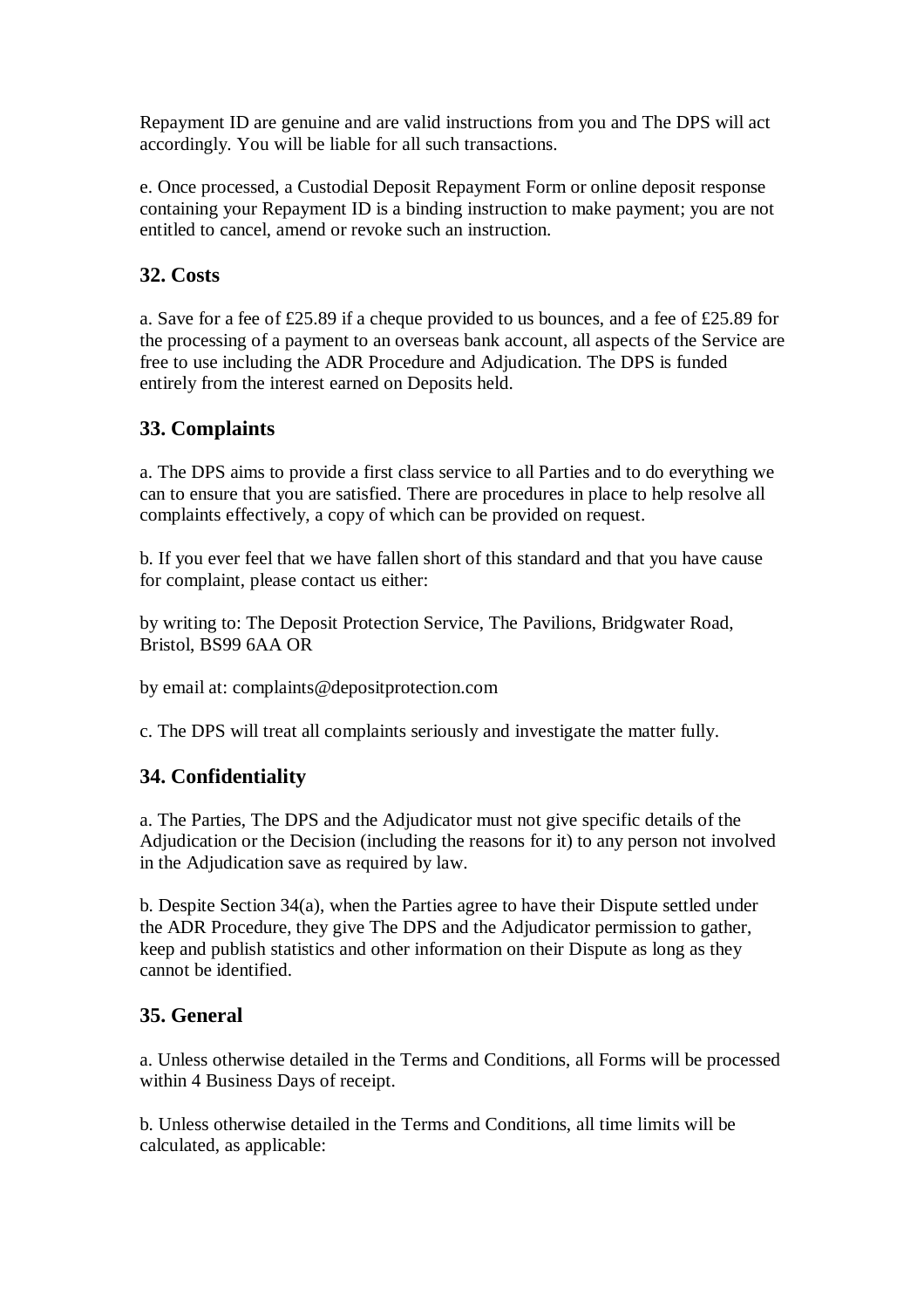Repayment ID are genuine and are valid instructions from you and The DPS will act accordingly. You will be liable for all such transactions.

e. Once processed, a Custodial Deposit Repayment Form or online deposit response containing your Repayment ID is a binding instruction to make payment; you are not entitled to cancel, amend or revoke such an instruction.

#### **32. Costs**

a. Save for a fee of £25.89 if a cheque provided to us bounces, and a fee of £25.89 for the processing of a payment to an overseas bank account, all aspects of the Service are free to use including the ADR Procedure and Adjudication. The DPS is funded entirely from the interest earned on Deposits held.

#### **33. Complaints**

a. The DPS aims to provide a first class service to all Parties and to do everything we can to ensure that you are satisfied. There are procedures in place to help resolve all complaints effectively, a copy of which can be provided on request.

b. If you ever feel that we have fallen short of this standard and that you have cause for complaint, please contact us either:

by writing to: The Deposit Protection Service, The Pavilions, Bridgwater Road, Bristol, BS99 6AA OR

by email at: complaints@depositprotection.com

c. The DPS will treat all complaints seriously and investigate the matter fully.

#### **34. Confidentiality**

a. The Parties, The DPS and the Adjudicator must not give specific details of the Adjudication or the Decision (including the reasons for it) to any person not involved in the Adjudication save as required by law.

b. Despite Section 34(a), when the Parties agree to have their Dispute settled under the ADR Procedure, they give The DPS and the Adjudicator permission to gather, keep and publish statistics and other information on their Dispute as long as they cannot be identified.

#### **35. General**

a. Unless otherwise detailed in the Terms and Conditions, all Forms will be processed within 4 Business Days of receipt.

b. Unless otherwise detailed in the Terms and Conditions, all time limits will be calculated, as applicable: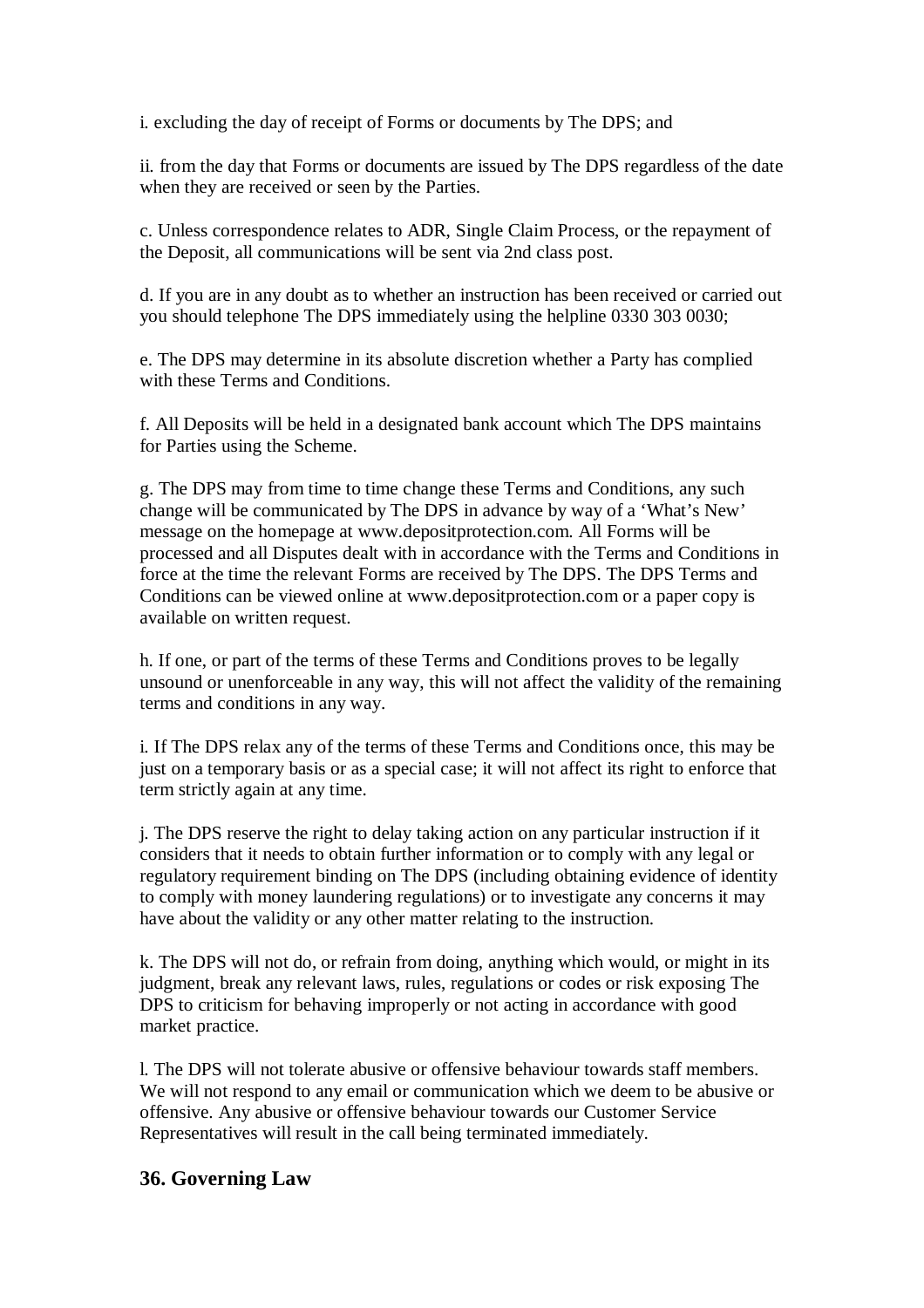i. excluding the day of receipt of Forms or documents by The DPS; and

ii. from the day that Forms or documents are issued by The DPS regardless of the date when they are received or seen by the Parties.

c. Unless correspondence relates to ADR, Single Claim Process, or the repayment of the Deposit, all communications will be sent via 2nd class post.

d. If you are in any doubt as to whether an instruction has been received or carried out you should telephone The DPS immediately using the helpline 0330 303 0030;

e. The DPS may determine in its absolute discretion whether a Party has complied with these Terms and Conditions.

f. All Deposits will be held in a designated bank account which The DPS maintains for Parties using the Scheme.

g. The DPS may from time to time change these Terms and Conditions, any such change will be communicated by The DPS in advance by way of a 'What's New' message on the homepage at www.depositprotection.com. All Forms will be processed and all Disputes dealt with in accordance with the Terms and Conditions in force at the time the relevant Forms are received by The DPS. The DPS Terms and Conditions can be viewed online at www.depositprotection.com or a paper copy is available on written request.

h. If one, or part of the terms of these Terms and Conditions proves to be legally unsound or unenforceable in any way, this will not affect the validity of the remaining terms and conditions in any way.

i. If The DPS relax any of the terms of these Terms and Conditions once, this may be just on a temporary basis or as a special case; it will not affect its right to enforce that term strictly again at any time.

j. The DPS reserve the right to delay taking action on any particular instruction if it considers that it needs to obtain further information or to comply with any legal or regulatory requirement binding on The DPS (including obtaining evidence of identity to comply with money laundering regulations) or to investigate any concerns it may have about the validity or any other matter relating to the instruction.

k. The DPS will not do, or refrain from doing, anything which would, or might in its judgment, break any relevant laws, rules, regulations or codes or risk exposing The DPS to criticism for behaving improperly or not acting in accordance with good market practice.

l. The DPS will not tolerate abusive or offensive behaviour towards staff members. We will not respond to any email or communication which we deem to be abusive or offensive. Any abusive or offensive behaviour towards our Customer Service Representatives will result in the call being terminated immediately.

#### **36. Governing Law**